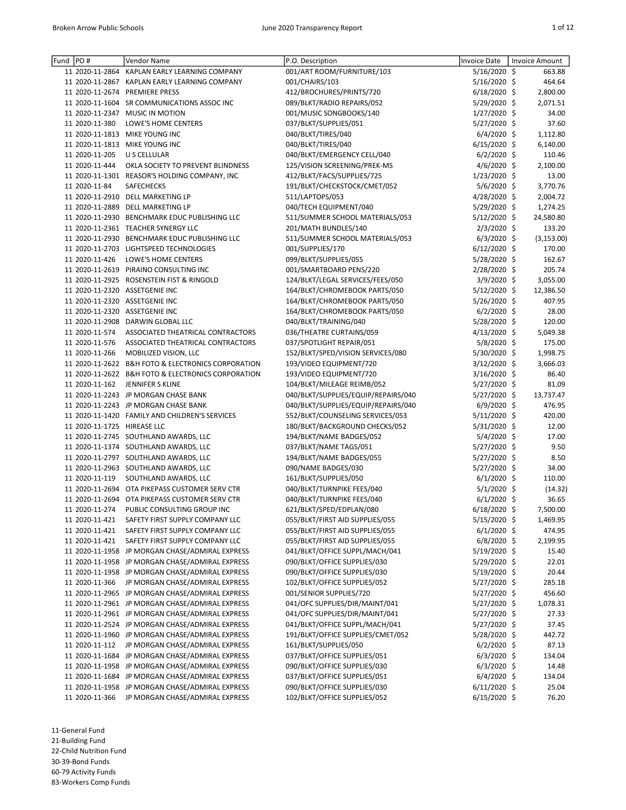| Fund PO# |                             | Vendor Name                                                                                        | P.O. Description                                          | Invoice Date                 | Invoice Amount   |
|----------|-----------------------------|----------------------------------------------------------------------------------------------------|-----------------------------------------------------------|------------------------------|------------------|
|          | 11 2020-11-2864             | KAPLAN EARLY LEARNING COMPANY                                                                      | 001/ART ROOM/FURNITURE/103                                | 5/16/2020 \$                 | 663.88           |
|          |                             | 11 2020-11-2867 KAPLAN EARLY LEARNING COMPANY                                                      | 001/CHAIRS/103                                            | 5/16/2020 \$                 | 464.64           |
|          |                             | 11 2020-11-2674 PREMIERE PRESS                                                                     | 412/BROCHURES/PRINTS/720                                  | $6/18/2020$ \$               | 2,800.00         |
|          |                             | 11 2020-11-1604 SR COMMUNICATIONS ASSOC INC                                                        | 089/BLKT/RADIO REPAIRS/052                                | 5/29/2020 \$                 | 2,071.51         |
|          |                             | 11 2020-11-2347 MUSIC IN MOTION                                                                    | 001/MUSIC SONGBOOKS/140                                   | $1/27/2020$ \$               | 34.00            |
|          | 11 2020-11-380              | LOWE'S HOME CENTERS                                                                                | 037/BLKT/SUPPLIES/051                                     | 5/27/2020 \$                 | 37.60            |
|          |                             | 11 2020-11-1813 MIKE YOUNG INC                                                                     | 040/BLKT/TIRES/040                                        | $6/4/2020$ \$                | 1,112.80         |
|          |                             | 11 2020-11-1813 MIKE YOUNG INC                                                                     | 040/BLKT/TIRES/040                                        | 6/15/2020 \$                 | 6,140.00         |
|          | 11 2020-11-205              | U S CELLULAR                                                                                       | 040/BLKT/EMERGENCY CELL/040                               | $6/2/2020$ \$                | 110.46           |
|          | 11 2020-11-444              | OKLA SOCIETY TO PREVENT BLINDNESS                                                                  | 125/VISION SCREENING/PREK-MS                              | 4/6/2020 \$                  | 2,100.00         |
|          |                             | 11 2020-11-1301 REASOR'S HOLDING COMPANY, INC                                                      | 412/BLKT/FACS/SUPPLIES/725                                | 1/23/2020 \$                 | 13.00            |
|          | 11 2020-11-84               | SAFECHECKS                                                                                         | 191/BLKT/CHECKSTOCK/CMET/052                              | 5/6/2020 \$                  | 3,770.76         |
|          |                             | 11 2020-11-2910 DELL MARKETING LP                                                                  | 511/LAPTOPS/053                                           | 4/28/2020 \$                 | 2,004.72         |
|          |                             | 11 2020-11-2889 DELL MARKETING LP                                                                  | 040/TECH EQUIPMENT/040                                    | 5/29/2020 \$                 | 1,274.25         |
|          |                             | 11 2020-11-2930 BENCHMARK EDUC PUBLISHING LLC                                                      | 511/SUMMER SCHOOL MATERIALS/053                           | 5/12/2020 \$                 | 24,580.80        |
|          |                             | 11 2020-11-2361 TEACHER SYNERGY LLC                                                                | 201/MATH BUNDLES/140                                      | 2/3/2020 \$                  | 133.20           |
|          |                             | 11 2020-11-2930 BENCHMARK EDUC PUBLISHING LLC                                                      | 511/SUMMER SCHOOL MATERIALS/053                           | $6/3/2020$ \$                | (3, 153.00)      |
|          |                             | 11 2020-11-2703 LIGHTSPEED TECHNOLOGIES                                                            | 001/SUPPLIES/170                                          | $6/12/2020$ \$               | 170.00           |
|          | 11 2020-11-426              | LOWE'S HOME CENTERS                                                                                | 099/BLKT/SUPPLIES/055                                     | 5/28/2020 \$                 | 162.67           |
|          |                             | 11 2020-11-2619 PIRAINO CONSULTING INC                                                             | 001/SMARTBOARD PENS/220                                   | 2/28/2020 \$                 | 205.74           |
|          |                             | 11 2020-11-2925 ROSENSTEIN FIST & RINGOLD                                                          | 124/BLKT/LEGAL SERVICES/FEES/050                          | 3/9/2020 \$                  | 3,055.00         |
|          |                             | 11 2020-11-2320 ASSETGENIE INC                                                                     | 164/BLKT/CHROMEBOOK PARTS/050                             | 5/12/2020 \$                 | 12,386.50        |
|          |                             | 11 2020-11-2320 ASSETGENIE INC                                                                     | 164/BLKT/CHROMEBOOK PARTS/050                             | 5/26/2020 \$                 | 407.95           |
|          |                             | 11 2020-11-2320 ASSETGENIE INC                                                                     | 164/BLKT/CHROMEBOOK PARTS/050                             | $6/2/2020$ \$                | 28.00            |
|          |                             | 11 2020-11-2908 DARWIN GLOBAL LLC                                                                  | 040/BLKT/TRAINING/040                                     | 5/28/2020 \$                 | 120.00           |
|          | 11 2020-11-574              | ASSOCIATED THEATRICAL CONTRACTORS                                                                  | 036/THEATRE CURTAINS/059                                  | 4/13/2020 \$                 | 5,049.38         |
|          | 11 2020-11-576              | ASSOCIATED THEATRICAL CONTRACTORS                                                                  | 037/SPOTLIGHT REPAIR/051                                  | 5/8/2020 \$                  | 175.00           |
|          | 11 2020-11-266              | MOBILIZED VISION, LLC                                                                              | 152/BLKT/SPED/VISION SERVICES/080                         | 5/30/2020 \$                 | 1,998.75         |
|          |                             | 11 2020-11-2622 B&H FOTO & ELECTRONICS CORPORATION                                                 | 193/VIDEO EQUIPMENT/720                                   | 3/12/2020 \$                 | 3,666.03         |
|          |                             | 11 2020-11-2622 B&H FOTO & ELECTRONICS CORPORATION                                                 | 193/VIDEO EQUIPMENT/720                                   | 3/16/2020 \$                 | 86.40            |
|          | 11 2020-11-162              | JENNIFER S KLINE                                                                                   | 104/BLKT/MILEAGE REIMB/052                                | 5/27/2020 \$                 | 81.09            |
|          |                             | 11 2020-11-2243 JP MORGAN CHASE BANK                                                               | 040/BLKT/SUPPLIES/EQUIP/REPAIRS/040                       | 5/27/2020 \$                 | 13,737.47        |
|          |                             | 11 2020-11-2243 JP MORGAN CHASE BANK                                                               | 040/BLKT/SUPPLIES/EQUIP/REPAIRS/040                       | $6/9/2020$ \$                | 476.95           |
|          |                             | 11 2020-11-1420 FAMILY AND CHILDREN'S SERVICES                                                     | 552/BLKT/COUNSELING SERVICES/053                          | 5/11/2020 \$                 | 420.00           |
|          | 11 2020-11-1725 HIREASE LLC |                                                                                                    | 180/BLKT/BACKGROUND CHECKS/052                            | 5/31/2020 \$                 | 12.00            |
|          |                             | 11 2020-11-2745 SOUTHLAND AWARDS, LLC                                                              | 194/BLKT/NAME BADGES/052                                  | 5/4/2020 \$                  | 17.00            |
|          |                             | 11 2020-11-1374 SOUTHLAND AWARDS, LLC                                                              | 037/BLKT/NAME TAGS/051                                    | 5/27/2020 \$                 | 9.50             |
|          |                             | 11 2020-11-2797 SOUTHLAND AWARDS, LLC                                                              | 194/BLKT/NAME BADGES/055                                  | 5/27/2020 \$                 | 8.50             |
|          |                             | 11 2020-11-2963 SOUTHLAND AWARDS, LLC                                                              | 090/NAME BADGES/030                                       | 5/27/2020 \$                 | 34.00            |
|          | 11 2020-11-119              | SOUTHLAND AWARDS, LLC                                                                              | 161/BLKT/SUPPLIES/050                                     | $6/1/2020$ \$                | 110.00           |
|          |                             | 11 2020-11-2694 OTA PIKEPASS CUSTOMER SERV CTR                                                     | 040/BLKT/TURNPIKE FEES/040                                | $5/1/2020$ \$                | (14.32)          |
|          |                             | 11 2020-11-2694 OTA PIKEPASS CUSTOMER SERV CTR                                                     | 040/BLKT/TURNPIKE FEES/040                                | $6/1/2020$ \$                | 36.65            |
|          |                             | 11 2020-11-274 PUBLIC CONSULTING GROUP INC                                                         | 621/BLKT/SPED/EDPLAN/080                                  | 6/18/2020 \$                 | 7,500.00         |
|          | 11 2020-11-421              | SAFETY FIRST SUPPLY COMPANY LLC                                                                    | 055/BLKT/FIRST AID SUPPLIES/055                           | 5/15/2020 \$                 | 1,469.95         |
|          | 11 2020-11-421              | SAFETY FIRST SUPPLY COMPANY LLC                                                                    | 055/BLKT/FIRST AID SUPPLIES/055                           | $6/1/2020$ \$                | 474.95           |
|          | 11 2020-11-421              | SAFETY FIRST SUPPLY COMPANY LLC                                                                    | 055/BLKT/FIRST AID SUPPLIES/055                           | $6/8/2020$ \$                | 2,199.95         |
|          |                             | 11 2020-11-1958 JP MORGAN CHASE/ADMIRAL EXPRESS                                                    | 041/BLKT/OFFICE SUPPL/MACH/041                            | 5/19/2020 \$                 | 15.40            |
|          |                             | 11 2020-11-1958 JP MORGAN CHASE/ADMIRAL EXPRESS<br>11 2020-11-1958 JP MORGAN CHASE/ADMIRAL EXPRESS | 090/BLKT/OFFICE SUPPLIES/030                              | 5/29/2020 \$<br>5/19/2020 \$ | 22.01            |
|          | 11 2020-11-366              | JP MORGAN CHASE/ADMIRAL EXPRESS                                                                    | 090/BLKT/OFFICE SUPPLIES/030                              |                              | 20.44            |
|          |                             | 11 2020-11-2965 JP MORGAN CHASE/ADMIRAL EXPRESS                                                    | 102/BLKT/OFFICE SUPPLIES/052                              | 5/27/2020 \$                 | 285.18<br>456.60 |
|          |                             | 11 2020-11-2961 JP MORGAN CHASE/ADMIRAL EXPRESS                                                    | 001/SENIOR SUPPLIES/720<br>041/OFC SUPPLIES/DIR/MAINT/041 | 5/27/2020 \$<br>5/27/2020 \$ | 1,078.31         |
|          |                             | 11 2020-11-2961 JP MORGAN CHASE/ADMIRAL EXPRESS                                                    | 041/OFC SUPPLIES/DIR/MAINT/041                            | 5/27/2020 \$                 | 27.33            |
|          |                             | 11 2020-11-2524 JP MORGAN CHASE/ADMIRAL EXPRESS                                                    | 041/BLKT/OFFICE SUPPL/MACH/041                            | 5/27/2020 \$                 | 37.45            |
|          |                             | 11 2020-11-1960 JP MORGAN CHASE/ADMIRAL EXPRESS                                                    | 191/BLKT/OFFICE SUPPLIES/CMET/052                         | 5/28/2020 \$                 | 442.72           |
|          | 11 2020-11-112              | JP MORGAN CHASE/ADMIRAL EXPRESS                                                                    | 161/BLKT/SUPPLIES/050                                     | $6/2/2020$ \$                | 87.13            |
|          |                             | 11 2020-11-1684 JP MORGAN CHASE/ADMIRAL EXPRESS                                                    | 037/BLKT/OFFICE SUPPLIES/051                              | $6/3/2020$ \$                | 134.04           |
|          |                             | 11 2020-11-1958 JP MORGAN CHASE/ADMIRAL EXPRESS                                                    | 090/BLKT/OFFICE SUPPLIES/030                              | $6/3/2020$ \$                | 14.48            |
|          |                             | 11 2020-11-1684 JP MORGAN CHASE/ADMIRAL EXPRESS                                                    | 037/BLKT/OFFICE SUPPLIES/051                              | $6/4/2020$ \$                | 134.04           |
|          |                             | 11 2020-11-1958 JP MORGAN CHASE/ADMIRAL EXPRESS                                                    | 090/BLKT/OFFICE SUPPLIES/030                              | $6/11/2020$ \$               | 25.04            |
|          | 11 2020-11-366              | JP MORGAN CHASE/ADMIRAL EXPRESS                                                                    | 102/BLKT/OFFICE SUPPLIES/052                              | 6/15/2020 \$                 | 76.20            |
|          |                             |                                                                                                    |                                                           |                              |                  |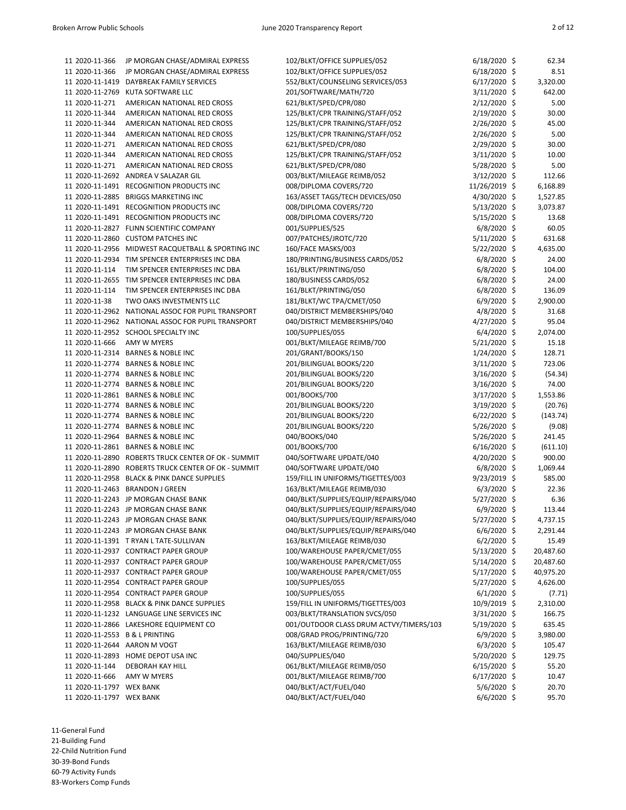| 11 2020-11-366                 | JP MORGAN CHASE/ADMIRAL EXPRESS                     | 102/BLKT/OFFICE SUPPLIES/052            | $6/18/2020$ \$ | 62.34     |
|--------------------------------|-----------------------------------------------------|-----------------------------------------|----------------|-----------|
| 11 2020-11-366                 | JP MORGAN CHASE/ADMIRAL EXPRESS                     | 102/BLKT/OFFICE SUPPLIES/052            | 6/18/2020 \$   | 8.51      |
| 11 2020-11-1419                | DAYBREAK FAMILY SERVICES                            | 552/BLKT/COUNSELING SERVICES/053        | $6/17/2020$ \$ | 3,320.00  |
| 11 2020-11-2769                | KUTA SOFTWARE LLC                                   | 201/SOFTWARE/MATH/720                   | 3/11/2020 \$   | 642.00    |
| 11 2020-11-271                 | AMERICAN NATIONAL RED CROSS                         | 621/BLKT/SPED/CPR/080                   | 2/12/2020 \$   | 5.00      |
| 11 2020-11-344                 | AMERICAN NATIONAL RED CROSS                         | 125/BLKT/CPR TRAINING/STAFF/052         | 2/19/2020 \$   | 30.00     |
| 11 2020-11-344                 | AMERICAN NATIONAL RED CROSS                         | 125/BLKT/CPR TRAINING/STAFF/052         | 2/26/2020 \$   | 45.00     |
| 11 2020-11-344                 | AMERICAN NATIONAL RED CROSS                         | 125/BLKT/CPR TRAINING/STAFF/052         | $2/26/2020$ \$ | 5.00      |
| 11 2020-11-271                 | AMERICAN NATIONAL RED CROSS                         | 621/BLKT/SPED/CPR/080                   | 2/29/2020 \$   | 30.00     |
| 11 2020-11-344                 | AMERICAN NATIONAL RED CROSS                         | 125/BLKT/CPR TRAINING/STAFF/052         | $3/11/2020$ \$ | 10.00     |
| 11 2020-11-271                 | AMERICAN NATIONAL RED CROSS                         | 621/BLKT/SPED/CPR/080                   | 5/28/2020 \$   | 5.00      |
|                                | 11 2020-11-2692 ANDREA V SALAZAR GIL                | 003/BLKT/MILEAGE REIMB/052              | $3/12/2020$ \$ | 112.66    |
|                                | 11 2020-11-1491 RECOGNITION PRODUCTS INC            | 008/DIPLOMA COVERS/720                  | 11/26/2019 \$  | 6,168.89  |
| 11 2020-11-2885                | <b>BRIGGS MARKETING INC</b>                         | 163/ASSET TAGS/TECH DEVICES/050         | 4/30/2020 \$   | 1,527.85  |
|                                | 11 2020-11-1491 RECOGNITION PRODUCTS INC            | 008/DIPLOMA COVERS/720                  | 5/13/2020 \$   | 3,073.87  |
|                                | 11 2020-11-1491 RECOGNITION PRODUCTS INC            | 008/DIPLOMA COVERS/720                  | 5/15/2020 \$   | 13.68     |
|                                | 11 2020-11-2827 FLINN SCIENTIFIC COMPANY            | 001/SUPPLIES/525                        | $6/8/2020$ \$  | 60.05     |
|                                | 11 2020-11-2860 CUSTOM PATCHES INC                  | 007/PATCHES/JROTC/720                   | 5/11/2020 \$   | 631.68    |
|                                | 11 2020-11-2956 MIDWEST RACQUETBALL & SPORTING INC  | 160/FACE MASKS/003                      | 5/22/2020 \$   | 4,635.00  |
|                                | 11 2020-11-2934 TIM SPENCER ENTERPRISES INC DBA     | 180/PRINTING/BUSINESS CARDS/052         | $6/8/2020$ \$  | 24.00     |
| 11 2020-11-114                 | TIM SPENCER ENTERPRISES INC DBA                     | 161/BLKT/PRINTING/050                   | $6/8/2020$ \$  | 104.00    |
|                                | 11 2020-11-2655 TIM SPENCER ENTERPRISES INC DBA     | 180/BUSINESS CARDS/052                  | $6/8/2020$ \$  | 24.00     |
| 11 2020-11-114                 | TIM SPENCER ENTERPRISES INC DBA                     | 161/BLKT/PRINTING/050                   | $6/8/2020$ \$  | 136.09    |
| 11 2020-11-38                  | TWO OAKS INVESTMENTS LLC                            | 181/BLKT/WC TPA/CMET/050                | $6/9/2020$ \$  | 2,900.00  |
|                                | 11 2020-11-2962 NATIONAL ASSOC FOR PUPIL TRANSPORT  | 040/DISTRICT MEMBERSHIPS/040            | $4/8/2020$ \$  | 31.68     |
|                                | 11 2020-11-2962 NATIONAL ASSOC FOR PUPIL TRANSPORT  | 040/DISTRICT MEMBERSHIPS/040            | 4/27/2020 \$   | 95.04     |
|                                | 11 2020-11-2952 SCHOOL SPECIALTY INC                | 100/SUPPLIES/055                        | $6/4/2020$ \$  | 2,074.00  |
| 11 2020-11-666                 | AMY W MYERS                                         | 001/BLKT/MILEAGE REIMB/700              | 5/21/2020 \$   | 15.18     |
|                                | 11 2020-11-2314 BARNES & NOBLE INC                  | 201/GRANT/BOOKS/150                     | 1/24/2020 \$   | 128.71    |
|                                | 11 2020-11-2774 BARNES & NOBLE INC                  | 201/BILINGUAL BOOKS/220                 | 3/11/2020 \$   | 723.06    |
|                                | 11 2020-11-2774 BARNES & NOBLE INC                  | 201/BILINGUAL BOOKS/220                 | 3/16/2020 \$   | (54.34)   |
|                                | 11 2020-11-2774 BARNES & NOBLE INC                  | 201/BILINGUAL BOOKS/220                 | 3/16/2020 \$   | 74.00     |
|                                | 11 2020-11-2861 BARNES & NOBLE INC                  | 001/BOOKS/700                           | 3/17/2020 \$   | 1,553.86  |
|                                | 11 2020-11-2774 BARNES & NOBLE INC                  | 201/BILINGUAL BOOKS/220                 | 3/19/2020 \$   | (20.76)   |
|                                | 11 2020-11-2774 BARNES & NOBLE INC                  | 201/BILINGUAL BOOKS/220                 | 6/22/2020 \$   | (143.74)  |
|                                | 11 2020-11-2774 BARNES & NOBLE INC                  | 201/BILINGUAL BOOKS/220                 | 5/26/2020 \$   | (9.08)    |
| 11 2020-11-2964                | <b>BARNES &amp; NOBLE INC</b>                       | 040/BOOKS/040                           | 5/26/2020 \$   | 241.45    |
|                                | 11 2020-11-2861 BARNES & NOBLE INC                  | 001/BOOKS/700                           | 6/16/2020 \$   | (611.10)  |
|                                | 11 2020-11-2890 ROBERTS TRUCK CENTER OF OK - SUMMIT | 040/SOFTWARE UPDATE/040                 | 4/20/2020 \$   | 900.00    |
|                                | 11 2020-11-2890 ROBERTS TRUCK CENTER OF OK - SUMMIT | 040/SOFTWARE UPDATE/040                 | $6/8/2020$ \$  | 1,069.44  |
|                                | 11 2020-11-2958 BLACK & PINK DANCE SUPPLIES         | 159/FILL IN UNIFORMS/TIGETTES/003       | 9/23/2019 \$   | 585.00    |
|                                | 11 2020-11-2463 BRANDON J GREEN                     | 163/BLKT/MILEAGE REIMB/030              | $6/3/2020$ \$  | 22.36     |
|                                | 11 2020-11-2243 JP MORGAN CHASE BANK                | 040/BLKT/SUPPLIES/EQUIP/REPAIRS/040     | 5/27/2020 \$   | 6.36      |
|                                | 11 2020-11-2243 JP MORGAN CHASE BANK                | 040/BLKT/SUPPLIES/EQUIP/REPAIRS/040     | 6/9/2020 \$    | 113.44    |
|                                | 11 2020-11-2243 JP MORGAN CHASE BANK                | 040/BLKT/SUPPLIES/EQUIP/REPAIRS/040     | 5/27/2020 \$   | 4,737.15  |
|                                | 11 2020-11-2243 JP MORGAN CHASE BANK                | 040/BLKT/SUPPLIES/EQUIP/REPAIRS/040     | $6/6/2020$ \$  | 2,291.44  |
|                                | 11 2020-11-1391 T RYAN L TATE-SULLIVAN              | 163/BLKT/MILEAGE REIMB/030              | $6/2/2020$ \$  | 15.49     |
|                                | 11 2020-11-2937 CONTRACT PAPER GROUP                | 100/WAREHOUSE PAPER/CMET/055            | 5/13/2020 \$   | 20,487.60 |
|                                | 11 2020-11-2937 CONTRACT PAPER GROUP                | 100/WAREHOUSE PAPER/CMET/055            | $5/14/2020$ \$ | 20,487.60 |
|                                | 11 2020-11-2937 CONTRACT PAPER GROUP                | 100/WAREHOUSE PAPER/CMET/055            | $5/17/2020$ \$ | 40,975.20 |
|                                | 11 2020-11-2954 CONTRACT PAPER GROUP                | 100/SUPPLIES/055                        | 5/27/2020 \$   | 4,626.00  |
|                                | 11 2020-11-2954 CONTRACT PAPER GROUP                | 100/SUPPLIES/055                        | $6/1/2020$ \$  | (7.71)    |
|                                | 11 2020-11-2958 BLACK & PINK DANCE SUPPLIES         | 159/FILL IN UNIFORMS/TIGETTES/003       | 10/9/2019 \$   | 2,310.00  |
|                                | 11 2020-11-1232 LANGUAGE LINE SERVICES INC          | 003/BLKT/TRANSLATION SVCS/050           | 3/31/2020 \$   | 166.75    |
|                                | 11 2020-11-2866 LAKESHORE EQUIPMENT CO              | 001/OUTDOOR CLASS DRUM ACTVY/TIMERS/103 | $5/19/2020$ \$ | 635.45    |
| 11 2020-11-2553 B & L PRINTING |                                                     | 008/GRAD PROG/PRINTING/720              | $6/9/2020$ \$  | 3,980.00  |
| 11 2020-11-2644 AARON M VOGT   |                                                     | 163/BLKT/MILEAGE REIMB/030              | $6/3/2020$ \$  | 105.47    |
|                                | 11 2020-11-2893 HOME DEPOT USA INC                  | 040/SUPPLIES/040                        | 5/20/2020 \$   | 129.75    |
| 11 2020-11-144                 | DEBORAH KAY HILL                                    | 061/BLKT/MILEAGE REIMB/050              | $6/15/2020$ \$ | 55.20     |
| 11 2020-11-666                 | AMY W MYERS                                         | 001/BLKT/MILEAGE REIMB/700              | 6/17/2020 \$   | 10.47     |
| 11 2020-11-1797 WEX BANK       |                                                     | 040/BLKT/ACT/FUEL/040                   | 5/6/2020 \$    | 20.70     |
| 11 2020-11-1797 WEX BANK       |                                                     | 040/BLKT/ACT/FUEL/040                   | $6/6/2020$ \$  | 95.70     |
|                                |                                                     |                                         |                |           |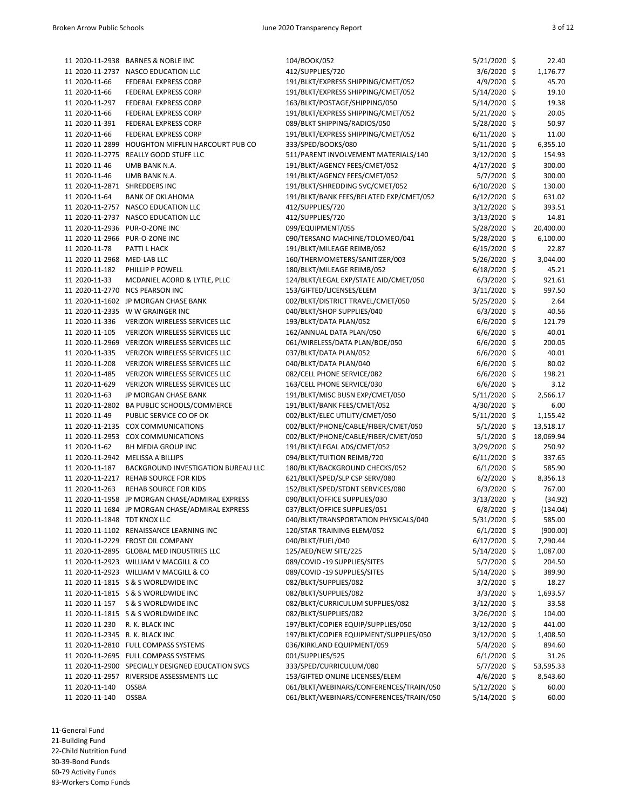|                                 | 11 2020-11-2938 BARNES & NOBLE INC                | 104/BOOK/052                            | 5/21/2020 \$   | 22.40     |
|---------------------------------|---------------------------------------------------|-----------------------------------------|----------------|-----------|
|                                 |                                                   |                                         |                |           |
|                                 | 11 2020-11-2737 NASCO EDUCATION LLC               | 412/SUPPLIES/720                        | 3/6/2020 \$    | 1,176.77  |
| 11 2020-11-66                   | FEDERAL EXPRESS CORP                              | 191/BLKT/EXPRESS SHIPPING/CMET/052      | 4/9/2020 \$    | 45.70     |
| 11 2020-11-66                   | <b>FEDERAL EXPRESS CORP</b>                       | 191/BLKT/EXPRESS SHIPPING/CMET/052      | 5/14/2020 \$   | 19.10     |
| 11 2020-11-297                  | FEDERAL EXPRESS CORP                              | 163/BLKT/POSTAGE/SHIPPING/050           | 5/14/2020 \$   | 19.38     |
| 11 2020-11-66                   | FEDERAL EXPRESS CORP                              | 191/BLKT/EXPRESS SHIPPING/CMET/052      | 5/21/2020 \$   | 20.05     |
| 11 2020-11-391                  | FEDERAL EXPRESS CORP                              | 089/BLKT SHIPPING/RADIOS/050            | 5/28/2020 \$   | 50.97     |
| 11 2020-11-66                   | FEDERAL EXPRESS CORP                              | 191/BLKT/EXPRESS SHIPPING/CMET/052      | $6/11/2020$ \$ | 11.00     |
| 11 2020-11-2899                 | HOUGHTON MIFFLIN HARCOURT PUB CO                  | 333/SPED/BOOKS/080                      | 5/11/2020 \$   | 6,355.10  |
| 11 2020-11-2775                 | <b>REALLY GOOD STUFF LLC</b>                      | 511/PARENT INVOLVEMENT MATERIALS/140    | 3/12/2020 \$   | 154.93    |
| 11 2020-11-46                   | UMB BANK N.A.                                     | 191/BLKT/AGENCY FEES/CMET/052           | 4/17/2020 \$   | 300.00    |
| 11 2020-11-46                   | UMB BANK N.A.                                     | 191/BLKT/AGENCY FEES/CMET/052           | 5/7/2020 \$    | 300.00    |
| 11 2020-11-2871 SHREDDERS INC   |                                                   | 191/BLKT/SHREDDING SVC/CMET/052         | 6/10/2020 \$   | 130.00    |
| 11 2020-11-64                   | <b>BANK OF OKLAHOMA</b>                           | 191/BLKT/BANK FEES/RELATED EXP/CMET/052 | $6/12/2020$ \$ | 631.02    |
|                                 | 11 2020-11-2757 NASCO EDUCATION LLC               | 412/SUPPLIES/720                        | 3/12/2020 \$   | 393.51    |
|                                 |                                                   |                                         |                |           |
|                                 | 11 2020-11-2737 NASCO EDUCATION LLC               | 412/SUPPLIES/720                        | 3/13/2020 \$   | 14.81     |
|                                 | 11 2020-11-2936 PUR-O-ZONE INC                    | 099/EQUIPMENT/055                       | 5/28/2020 \$   | 20,400.00 |
|                                 | 11 2020-11-2966 PUR-O-ZONE INC                    | 090/TERSANO MACHINE/TOLOMEO/041         | 5/28/2020 \$   | 6,100.00  |
| 11 2020-11-78                   | PATTI L HACK                                      | 191/BLKT/MILEAGE REIMB/052              | 6/15/2020 \$   | 22.87     |
| 11 2020-11-2968 MED-LAB LLC     |                                                   | 160/THERMOMETERS/SANITIZER/003          | 5/26/2020 \$   | 3,044.00  |
| 11 2020-11-182                  | PHILLIP P POWELL                                  | 180/BLKT/MILEAGE REIMB/052              | $6/18/2020$ \$ | 45.21     |
| 11 2020-11-33                   | MCDANIEL ACORD & LYTLE, PLLC                      | 124/BLKT/LEGAL EXP/STATE AID/CMET/050   | $6/3/2020$ \$  | 921.61    |
| 11 2020-11-2770                 | <b>NCS PEARSON INC</b>                            | 153/GIFTED/LICENSES/ELEM                | 3/11/2020 \$   | 997.50    |
|                                 | 11 2020-11-1602 JP MORGAN CHASE BANK              | 002/BLKT/DISTRICT TRAVEL/CMET/050       | 5/25/2020 \$   | 2.64      |
|                                 | 11 2020-11-2335 W W GRAINGER INC                  | 040/BLKT/SHOP SUPPLIES/040              | $6/3/2020$ \$  | 40.56     |
| 11 2020-11-336                  | VERIZON WIRELESS SERVICES LLC                     | 193/BLKT/DATA PLAN/052                  | $6/6/2020$ \$  | 121.79    |
| 11 2020-11-105                  | VERIZON WIRELESS SERVICES LLC                     | 162/ANNUAL DATA PLAN/050                | 6/6/2020 \$    | 40.01     |
|                                 | 11 2020-11-2969 VERIZON WIRELESS SERVICES LLC     | 061/WIRELESS/DATA PLAN/BOE/050          | 6/6/2020 \$    | 200.05    |
| 11 2020-11-335                  | <b>VERIZON WIRELESS SERVICES LLC</b>              | 037/BLKT/DATA PLAN/052                  | $6/6/2020$ \$  | 40.01     |
| 11 2020-11-208                  | VERIZON WIRELESS SERVICES LLC                     | 040/BLKT/DATA PLAN/040                  | $6/6/2020$ \$  | 80.02     |
|                                 |                                                   |                                         | 6/6/2020 \$    |           |
| 11 2020-11-485                  | VERIZON WIRELESS SERVICES LLC                     | 082/CELL PHONE SERVICE/082              |                | 198.21    |
| 11 2020-11-629                  | VERIZON WIRELESS SERVICES LLC                     | 163/CELL PHONE SERVICE/030              | $6/6/2020$ \$  | 3.12      |
| 11 2020-11-63                   | JP MORGAN CHASE BANK                              | 191/BLKT/MISC BUSN EXP/CMET/050         | 5/11/2020 \$   | 2,566.17  |
|                                 | 11 2020-11-2802 BA PUBLIC SCHOOLS/COMMERCE        | 191/BLKT/BANK FEES/CMET/052             | 4/30/2020 \$   | 6.00      |
| 11 2020-11-49                   | PUBLIC SERVICE CO OF OK                           | 002/BLKT/ELEC UTILITY/CMET/050          | 5/11/2020 \$   | 1,155.42  |
|                                 | 11 2020-11-2135 COX COMMUNICATIONS                | 002/BLKT/PHONE/CABLE/FIBER/CMET/050     | $5/1/2020$ \$  | 13,518.17 |
|                                 | 11 2020-11-2953 COX COMMUNICATIONS                | 002/BLKT/PHONE/CABLE/FIBER/CMET/050     | $5/1/2020$ \$  | 18,069.94 |
| 11 2020-11-62                   | BH MEDIA GROUP INC                                | 191/BLKT/LEGAL ADS/CMET/052             | 3/29/2020 \$   | 250.92    |
|                                 | 11 2020-11-2942 MELISSA A BILLIPS                 | 094/BLKT/TUITION REIMB/720              | $6/11/2020$ \$ | 337.65    |
| 11 2020-11-187                  | BACKGROUND INVESTIGATION BUREAU LLC               | 180/BLKT/BACKGROUND CHECKS/052          | $6/1/2020$ \$  | 585.90    |
|                                 | 11 2020-11-2217 REHAB SOURCE FOR KIDS             | 621/BLKT/SPED/SLP CSP SERV/080          | $6/2/2020$ \$  | 8,356.13  |
| 11 2020-11-263                  | REHAB SOURCE FOR KIDS                             | 152/BLKT/SPED/STDNT SERVICES/080        | $6/3/2020$ \$  | 767.00    |
|                                 | 11 2020-11-1958 JP MORGAN CHASE/ADMIRAL EXPRESS   | 090/BLKT/OFFICE SUPPLIES/030            | 3/13/2020 \$   | (34.92)   |
|                                 | 11 2020-11-1684 JP MORGAN CHASE/ADMIRAL EXPRESS   | 037/BLKT/OFFICE SUPPLIES/051            | 6/8/2020 \$    | (134.04)  |
| 11 2020-11-1848 TDT KNOX LLC    |                                                   | 040/BLKT/TRANSPORTATION PHYSICALS/040   | 5/31/2020 \$   | 585.00    |
|                                 | 11 2020-11-1102 RENAISSANCE LEARNING INC          | 120/STAR TRAINING ELEM/052              | $6/1/2020$ \$  | (900.00)  |
|                                 | 11 2020-11-2229 FROST OIL COMPANY                 | 040/BLKT/FUEL/040                       | 6/17/2020 \$   | 7,290.44  |
|                                 | 11 2020-11-2895 GLOBAL MED INDUSTRIES LLC         | 125/AED/NEW SITE/225                    | 5/14/2020 \$   | 1,087.00  |
|                                 |                                                   |                                         |                |           |
|                                 | 11 2020-11-2923 WILLIAM V MACGILL & CO            | 089/COVID-19 SUPPLIES/SITES             | 5/7/2020 \$    | 204.50    |
|                                 | 11 2020-11-2923 WILLIAM V MACGILL & CO            | 089/COVID-19 SUPPLIES/SITES             | 5/14/2020 \$   | 389.90    |
|                                 | 11 2020-11-1815 S & S WORLDWIDE INC               | 082/BLKT/SUPPLIES/082                   | $3/2/2020$ \$  | 18.27     |
|                                 | 11 2020-11-1815 S & S WORLDWIDE INC               | 082/BLKT/SUPPLIES/082                   | $3/3/2020$ \$  | 1,693.57  |
| 11 2020-11-157                  | S & S WORLDWIDE INC                               | 082/BLKT/CURRICULUM SUPPLIES/082        | 3/12/2020 \$   | 33.58     |
|                                 | 11 2020-11-1815 S & S WORLDWIDE INC               | 082/BLKT/SUPPLIES/082                   | 3/26/2020 \$   | 104.00    |
| 11 2020-11-230                  | R. K. BLACK INC                                   | 197/BLKT/COPIER EQUIP/SUPPLIES/050      | 3/12/2020 \$   | 441.00    |
| 11 2020-11-2345 R. K. BLACK INC |                                                   | 197/BLKT/COPIER EQUIPMENT/SUPPLIES/050  | 3/12/2020 \$   | 1,408.50  |
|                                 | 11 2020-11-2810 FULL COMPASS SYSTEMS              | 036/KIRKLAND EQUIPMENT/059              | 5/4/2020 \$    | 894.60    |
|                                 | 11 2020-11-2695 FULL COMPASS SYSTEMS              | 001/SUPPLIES/525                        | $6/1/2020$ \$  | 31.26     |
|                                 | 11 2020-11-2900 SPECIALLY DESIGNED EDUCATION SVCS | 333/SPED/CURRICULUM/080                 | 5/7/2020 \$    | 53,595.33 |
|                                 | 11 2020-11-2957 RIVERSIDE ASSESSMENTS LLC         | 153/GIFTED ONLINE LICENSES/ELEM         | $4/6/2020$ \$  | 8,543.60  |
| 11 2020-11-140                  | <b>OSSBA</b>                                      | 061/BLKT/WEBINARS/CONFERENCES/TRAIN/050 | 5/12/2020 \$   | 60.00     |
| 11 2020-11-140                  | <b>OSSBA</b>                                      | 061/BLKT/WEBINARS/CONFERENCES/TRAIN/050 | 5/14/2020 \$   | 60.00     |
|                                 |                                                   |                                         |                |           |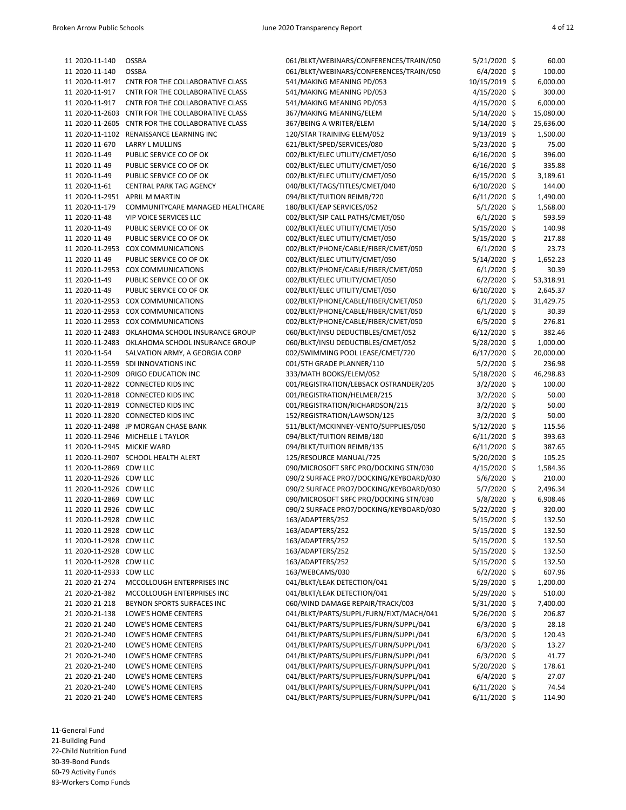| 11 2020-11-140              | OSSBA                                            | 061/BLKT/WEBINARS/CONFERENCES/TRAIN/050 | $5/21/2020$ \$ | 60.00     |
|-----------------------------|--------------------------------------------------|-----------------------------------------|----------------|-----------|
| 11 2020-11-140              | <b>OSSBA</b>                                     | 061/BLKT/WEBINARS/CONFERENCES/TRAIN/050 | $6/4/2020$ \$  | 100.00    |
| 11 2020-11-917              | CNTR FOR THE COLLABORATIVE CLASS                 | 541/MAKING MEANING PD/053               | 10/15/2019 \$  | 6,000.00  |
| 11 2020-11-917              | CNTR FOR THE COLLABORATIVE CLASS                 | 541/MAKING MEANING PD/053               | 4/15/2020 \$   | 300.00    |
| 11 2020-11-917              | CNTR FOR THE COLLABORATIVE CLASS                 | 541/MAKING MEANING PD/053               | $4/15/2020$ \$ | 6,000.00  |
|                             | 11 2020-11-2603 CNTR FOR THE COLLABORATIVE CLASS | 367/MAKING MEANING/ELEM                 | 5/14/2020 \$   | 15,080.00 |
| 11 2020-11-2605             | CNTR FOR THE COLLABORATIVE CLASS                 | 367/BEING A WRITER/ELEM                 | 5/14/2020 \$   | 25,636.00 |
|                             | 11 2020-11-1102 RENAISSANCE LEARNING INC         | 120/STAR TRAINING ELEM/052              | $9/13/2019$ \$ | 1,500.00  |
| 11 2020-11-670              | LARRY L MULLINS                                  | 621/BLKT/SPED/SERVICES/080              | $5/23/2020$ \$ | 75.00     |
| 11 2020-11-49               | PUBLIC SERVICE CO OF OK                          | 002/BLKT/ELEC UTILITY/CMET/050          | $6/16/2020$ \$ | 396.00    |
|                             |                                                  | 002/BLKT/ELEC UTILITY/CMET/050          |                |           |
| 11 2020-11-49               | PUBLIC SERVICE CO OF OK                          |                                         | $6/16/2020$ \$ | 335.88    |
| 11 2020-11-49               | PUBLIC SERVICE CO OF OK                          | 002/BLKT/ELEC UTILITY/CMET/050          | $6/15/2020$ \$ | 3,189.61  |
| 11 2020-11-61               | CENTRAL PARK TAG AGENCY                          | 040/BLKT/TAGS/TITLES/CMET/040           | $6/10/2020$ \$ | 144.00    |
|                             | 11 2020-11-2951 APRIL M MARTIN                   | 094/BLKT/TUITION REIMB/720              | $6/11/2020$ \$ | 1,490.00  |
| 11 2020-11-179              | COMMUNITYCARE MANAGED HEALTHCARE                 | 180/BLKT/EAP SERVICES/052               | $5/1/2020$ \$  | 1,568.00  |
| 11 2020-11-48               | <b>VIP VOICE SERVICES LLC</b>                    | 002/BLKT/SIP CALL PATHS/CMET/050        | $6/1/2020$ \$  | 593.59    |
| 11 2020-11-49               | PUBLIC SERVICE CO OF OK                          | 002/BLKT/ELEC UTILITY/CMET/050          | $5/15/2020$ \$ | 140.98    |
| 11 2020-11-49               | PUBLIC SERVICE CO OF OK                          | 002/BLKT/ELEC UTILITY/CMET/050          | $5/15/2020$ \$ | 217.88    |
|                             | 11 2020-11-2953 COX COMMUNICATIONS               | 002/BLKT/PHONE/CABLE/FIBER/CMET/050     | $6/1/2020$ \$  | 23.73     |
| 11 2020-11-49               | PUBLIC SERVICE CO OF OK                          | 002/BLKT/ELEC UTILITY/CMET/050          | 5/14/2020 \$   | 1,652.23  |
|                             | 11 2020-11-2953 COX COMMUNICATIONS               | 002/BLKT/PHONE/CABLE/FIBER/CMET/050     | $6/1/2020$ \$  | 30.39     |
| 11 2020-11-49               | PUBLIC SERVICE CO OF OK                          | 002/BLKT/ELEC UTILITY/CMET/050          | $6/2/2020$ \$  | 53,318.91 |
| 11 2020-11-49               | PUBLIC SERVICE CO OF OK                          | 002/BLKT/ELEC UTILITY/CMET/050          | $6/10/2020$ \$ | 2,645.37  |
|                             | 11 2020-11-2953 COX COMMUNICATIONS               | 002/BLKT/PHONE/CABLE/FIBER/CMET/050     | $6/1/2020$ \$  | 31,429.75 |
|                             | 11 2020-11-2953 COX COMMUNICATIONS               | 002/BLKT/PHONE/CABLE/FIBER/CMET/050     | $6/1/2020$ \$  | 30.39     |
|                             | 11 2020-11-2953 COX COMMUNICATIONS               | 002/BLKT/PHONE/CABLE/FIBER/CMET/050     | $6/5/2020$ \$  | 276.81    |
|                             |                                                  | 060/BLKT/INSU DEDUCTIBLES/CMET/052      | $6/12/2020$ \$ | 382.46    |
|                             | 11 2020-11-2483 OKLAHOMA SCHOOL INSURANCE GROUP  |                                         |                |           |
|                             | 11 2020-11-2483 OKLAHOMA SCHOOL INSURANCE GROUP  | 060/BLKT/INSU DEDUCTIBLES/CMET/052      | 5/28/2020 \$   | 1,000.00  |
| 11 2020-11-54               | SALVATION ARMY, A GEORGIA CORP                   | 002/SWIMMING POOL LEASE/CMET/720        | 6/17/2020 \$   | 20,000.00 |
|                             | 11 2020-11-2559 SDI INNOVATIONS INC              | 001/5TH GRADE PLANNER/110               | 5/2/2020 \$    | 236.98    |
|                             | 11 2020-11-2909 ORIGO EDUCATION INC              | 333/MATH BOOKS/ELEM/052                 | 5/18/2020 \$   | 46,298.83 |
|                             | 11 2020-11-2822 CONNECTED KIDS INC               | 001/REGISTRATION/LEBSACK OSTRANDER/205  | 3/2/2020 \$    | 100.00    |
|                             | 11 2020-11-2818 CONNECTED KIDS INC               | 001/REGISTRATION/HELMER/215             | $3/2/2020$ \$  | 50.00     |
|                             | 11 2020-11-2819 CONNECTED KIDS INC               | 001/REGISTRATION/RICHARDSON/215         | $3/2/2020$ \$  | 50.00     |
|                             | 11 2020-11-2820 CONNECTED KIDS INC               | 152/REGISTRATION/LAWSON/125             | 3/2/2020 \$    | 50.00     |
|                             | 11 2020-11-2498 JP MORGAN CHASE BANK             | 511/BLKT/MCKINNEY-VENTO/SUPPLIES/050    | 5/12/2020 \$   | 115.56    |
|                             | 11 2020-11-2946 MICHELLE L TAYLOR                | 094/BLKT/TUITION REIMB/180              | $6/11/2020$ \$ | 393.63    |
| 11 2020-11-2945 MICKIE WARD |                                                  | 094/BLKT/TUITION REIMB/135              | $6/11/2020$ \$ | 387.65    |
|                             | 11 2020-11-2907 SCHOOL HEALTH ALERT              | 125/RESOURCE MANUAL/725                 | 5/20/2020 \$   | 105.25    |
| 11 2020-11-2869 CDW LLC     |                                                  | 090/MICROSOFT SRFC PRO/DOCKING STN/030  | 4/15/2020 \$   | 1,584.36  |
| 11 2020-11-2926 CDW LLC     |                                                  | 090/2 SURFACE PRO7/DOCKING/KEYBOARD/030 | $5/6/2020$ \$  | 210.00    |
| 11 2020-11-2926 CDW LLC     |                                                  | 090/2 SURFACE PRO7/DOCKING/KEYBOARD/030 | 5/7/2020 \$    | 2,496.34  |
| 11 2020-11-2869 CDW LLC     |                                                  | 090/MICROSOFT SRFC PRO/DOCKING STN/030  | 5/8/2020 \$    | 6,908.46  |
| 11 2020-11-2926 CDW LLC     |                                                  | 090/2 SURFACE PRO7/DOCKING/KEYBOARD/030 |                | 320.00    |
|                             |                                                  |                                         | 5/22/2020 \$   |           |
| 11 2020-11-2928 CDW LLC     |                                                  | 163/ADAPTERS/252                        | $5/15/2020$ \$ | 132.50    |
| 11 2020-11-2928 CDW LLC     |                                                  | 163/ADAPTERS/252                        | $5/15/2020$ \$ | 132.50    |
| 11 2020-11-2928 CDW LLC     |                                                  | 163/ADAPTERS/252                        | $5/15/2020$ \$ | 132.50    |
| 11 2020-11-2928 CDW LLC     |                                                  | 163/ADAPTERS/252                        | $5/15/2020$ \$ | 132.50    |
| 11 2020-11-2928 CDW LLC     |                                                  | 163/ADAPTERS/252                        | $5/15/2020$ \$ | 132.50    |
| 11 2020-11-2933 CDW LLC     |                                                  | 163/WEBCAMS/030                         | $6/2/2020$ \$  | 607.96    |
| 21 2020-21-274              | MCCOLLOUGH ENTERPRISES INC                       | 041/BLKT/LEAK DETECTION/041             | 5/29/2020 \$   | 1,200.00  |
| 21 2020-21-382              | MCCOLLOUGH ENTERPRISES INC                       | 041/BLKT/LEAK DETECTION/041             | 5/29/2020 \$   | 510.00    |
| 21 2020-21-218              | BEYNON SPORTS SURFACES INC                       | 060/WIND DAMAGE REPAIR/TRACK/003        | $5/31/2020$ \$ | 7,400.00  |
| 21 2020-21-138              | LOWE'S HOME CENTERS                              | 041/BLKT/PARTS/SUPPL/FURN/FIXT/MACH/041 | 5/26/2020 \$   | 206.87    |
| 21 2020-21-240              | LOWE'S HOME CENTERS                              | 041/BLKT/PARTS/SUPPLIES/FURN/SUPPL/041  | $6/3/2020$ \$  | 28.18     |
| 21 2020-21-240              | LOWE'S HOME CENTERS                              | 041/BLKT/PARTS/SUPPLIES/FURN/SUPPL/041  | $6/3/2020$ \$  | 120.43    |
| 21 2020-21-240              | LOWE'S HOME CENTERS                              | 041/BLKT/PARTS/SUPPLIES/FURN/SUPPL/041  | $6/3/2020$ \$  | 13.27     |
| 21 2020-21-240              | LOWE'S HOME CENTERS                              | 041/BLKT/PARTS/SUPPLIES/FURN/SUPPL/041  | $6/3/2020$ \$  | 41.77     |
| 21 2020-21-240              | LOWE'S HOME CENTERS                              | 041/BLKT/PARTS/SUPPLIES/FURN/SUPPL/041  | $5/20/2020$ \$ | 178.61    |
| 21 2020-21-240              | LOWE'S HOME CENTERS                              | 041/BLKT/PARTS/SUPPLIES/FURN/SUPPL/041  | $6/4/2020$ \$  | 27.07     |
| 21 2020-21-240              | LOWE'S HOME CENTERS                              | 041/BLKT/PARTS/SUPPLIES/FURN/SUPPL/041  | $6/11/2020$ \$ | 74.54     |
| 21 2020-21-240              | LOWE'S HOME CENTERS                              | 041/BLKT/PARTS/SUPPLIES/FURN/SUPPL/041  | $6/11/2020$ \$ | 114.90    |
|                             |                                                  |                                         |                |           |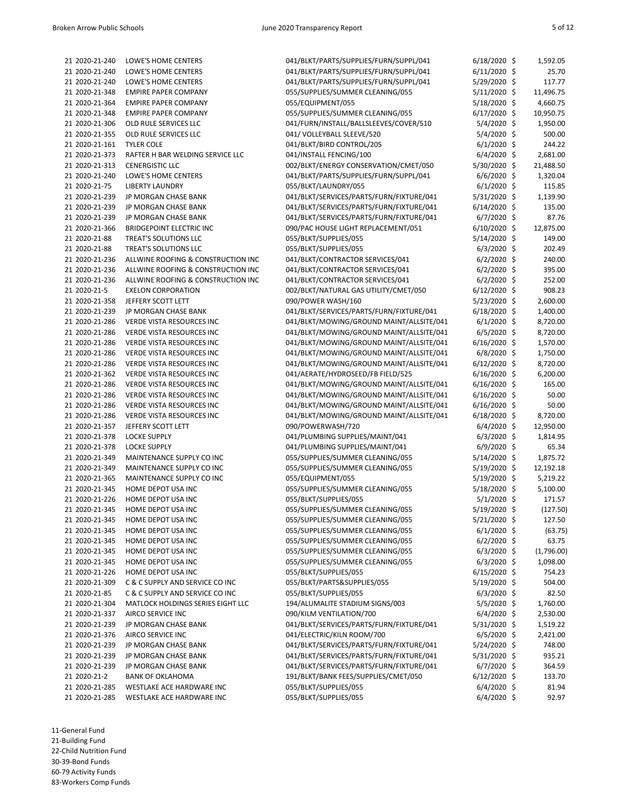| 21 2020-21-240 | LOWE'S HOME CENTERS                | 041/BLKT/PARTS/SUPPLIES/FURN/SUPPL/041   | $6/18/2020$ \$ | 1,592.05   |
|----------------|------------------------------------|------------------------------------------|----------------|------------|
| 21 2020-21-240 | LOWE'S HOME CENTERS                | 041/BLKT/PARTS/SUPPLIES/FURN/SUPPL/041   | $6/11/2020$ \$ | 25.70      |
| 21 2020-21-240 | LOWE'S HOME CENTERS                | 041/BLKT/PARTS/SUPPLIES/FURN/SUPPL/041   | 5/29/2020 \$   | 117.77     |
| 21 2020-21-348 | <b>EMPIRE PAPER COMPANY</b>        | 055/SUPPLIES/SUMMER CLEANING/055         | $5/11/2020$ \$ | 11,496.75  |
| 21 2020-21-364 | <b>EMPIRE PAPER COMPANY</b>        | 055/EQUIPMENT/055                        | 5/18/2020 \$   | 4,660.75   |
| 21 2020-21-348 | <b>EMPIRE PAPER COMPANY</b>        | 055/SUPPLIES/SUMMER CLEANING/055         | $6/17/2020$ \$ | 10,950.75  |
| 21 2020-21-306 | OLD RULE SERVICES LLC              | 041/FURN/INSTALL/BALLSLEEVES/COVER/510   | 5/4/2020 \$    | 1,950.00   |
| 21 2020-21-355 | OLD RULE SERVICES LLC              | 041/ VOLLEYBALL SLEEVE/520               | 5/4/2020 \$    | 500.00     |
| 21 2020-21-161 | <b>TYLER COLE</b>                  | 041/BLKT/BIRD CONTROL/205                | $6/1/2020$ \$  | 244.22     |
| 21 2020-21-373 | RAFTER H BAR WELDING SERVICE LLC   | 041/INSTALL FENCING/100                  | $6/4/2020$ \$  | 2,681.00   |
| 21 2020-21-313 | <b>CENERGISTIC LLC</b>             | 002/BLKT/ENERGY CONSERVATION/CMET/050    | 5/30/2020 \$   | 21,488.50  |
| 21 2020-21-240 | LOWE'S HOME CENTERS                | 041/BLKT/PARTS/SUPPLIES/FURN/SUPPL/041   | $6/6/2020$ \$  | 1,320.04   |
| 21 2020-21-75  | <b>LIBERTY LAUNDRY</b>             | 055/BLKT/LAUNDRY/055                     | $6/1/2020$ \$  | 115.85     |
| 21 2020-21-239 | JP MORGAN CHASE BANK               | 041/BLKT/SERVICES/PARTS/FURN/FIXTURE/041 | 5/31/2020 \$   | 1,139.90   |
| 21 2020-21-239 | JP MORGAN CHASE BANK               | 041/BLKT/SERVICES/PARTS/FURN/FIXTURE/041 | $6/14/2020$ \$ | 135.00     |
| 21 2020-21-239 | JP MORGAN CHASE BANK               | 041/BLKT/SERVICES/PARTS/FURN/FIXTURE/041 | $6/7/2020$ \$  | 87.76      |
| 21 2020-21-366 | <b>BRIDGEPOINT ELECTRIC INC</b>    | 090/PAC HOUSE LIGHT REPLACEMENT/051      | 6/10/2020 \$   | 12,875.00  |
|                |                                    |                                          |                |            |
| 21 2020-21-88  | TREAT'S SOLUTIONS LLC              | 055/BLKT/SUPPLIES/055                    | 5/14/2020 \$   | 149.00     |
| 21 2020-21-88  | TREAT'S SOLUTIONS LLC              | 055/BLKT/SUPPLIES/055                    | $6/3/2020$ \$  | 202.49     |
| 21 2020-21-236 | ALLWINE ROOFING & CONSTRUCTION INC | 041/BLKT/CONTRACTOR SERVICES/041         | $6/2/2020$ \$  | 240.00     |
| 21 2020-21-236 | ALLWINE ROOFING & CONSTRUCTION INC | 041/BLKT/CONTRACTOR SERVICES/041         | $6/2/2020$ \$  | 395.00     |
| 21 2020-21-236 | ALLWINE ROOFING & CONSTRUCTION INC | 041/BLKT/CONTRACTOR SERVICES/041         | $6/2/2020$ \$  | 252.00     |
| 21 2020-21-5   | <b>EXELON CORPORATION</b>          | 002/BLKT/NATURAL GAS UTILITY/CMET/050    | $6/12/2020$ \$ | 908.23     |
| 21 2020-21-358 | JEFFERY SCOTT LETT                 | 090/POWER WASH/160                       | 5/23/2020 \$   | 2,600.00   |
| 21 2020-21-239 | JP MORGAN CHASE BANK               | 041/BLKT/SERVICES/PARTS/FURN/FIXTURE/041 | $6/18/2020$ \$ | 1,400.00   |
| 21 2020-21-286 | VERDE VISTA RESOURCES INC          | 041/BLKT/MOWING/GROUND MAINT/ALLSITE/041 | $6/1/2020$ \$  | 8,720.00   |
| 21 2020-21-286 | <b>VERDE VISTA RESOURCES INC</b>   | 041/BLKT/MOWING/GROUND MAINT/ALLSITE/041 | $6/5/2020$ \$  | 8,720.00   |
| 21 2020-21-286 | VERDE VISTA RESOURCES INC          | 041/BLKT/MOWING/GROUND MAINT/ALLSITE/041 | $6/16/2020$ \$ | 1,570.00   |
| 21 2020-21-286 | VERDE VISTA RESOURCES INC          | 041/BLKT/MOWING/GROUND MAINT/ALLSITE/041 | $6/8/2020$ \$  | 1,750.00   |
| 21 2020-21-286 | VERDE VISTA RESOURCES INC          | 041/BLKT/MOWING/GROUND MAINT/ALLSITE/041 | $6/12/2020$ \$ | 8,720.00   |
| 21 2020-21-362 | VERDE VISTA RESOURCES INC          | 041/AERATE/HYDROSEED/FB FIELD/525        | $6/16/2020$ \$ | 6,200.00   |
| 21 2020-21-286 | VERDE VISTA RESOURCES INC          | 041/BLKT/MOWING/GROUND MAINT/ALLSITE/041 | $6/16/2020$ \$ | 165.00     |
| 21 2020-21-286 | VERDE VISTA RESOURCES INC          | 041/BLKT/MOWING/GROUND MAINT/ALLSITE/041 | $6/16/2020$ \$ | 50.00      |
| 21 2020-21-286 | <b>VERDE VISTA RESOURCES INC</b>   | 041/BLKT/MOWING/GROUND MAINT/ALLSITE/041 | $6/16/2020$ \$ | 50.00      |
| 21 2020-21-286 | <b>VERDE VISTA RESOURCES INC</b>   | 041/BLKT/MOWING/GROUND MAINT/ALLSITE/041 | 6/18/2020 \$   | 8,720.00   |
| 21 2020-21-357 | JEFFERY SCOTT LETT                 | 090/POWERWASH/720                        | $6/4/2020$ \$  | 12,950.00  |
| 21 2020-21-378 | <b>LOCKE SUPPLY</b>                | 041/PLUMBING SUPPLIES/MAINT/041          | $6/3/2020$ \$  | 1,814.95   |
| 21 2020-21-378 | <b>LOCKE SUPPLY</b>                | 041/PLUMBING SUPPLIES/MAINT/041          | 6/9/2020 \$    | 65.34      |
|                |                                    |                                          |                |            |
| 21 2020-21-349 | MAINTENANCE SUPPLY CO INC          | 055/SUPPLIES/SUMMER CLEANING/055         | $5/14/2020$ \$ | 1,875.72   |
| 21 2020-21-349 | MAINTENANCE SUPPLY CO INC          | 055/SUPPLIES/SUMMER CLEANING/055         | 5/19/2020 \$   | 12,192.18  |
| 21 2020-21-365 | MAINTENANCE SUPPLY CO INC          | 055/EQUIPMENT/055                        | 5/19/2020 \$   | 5,219.22   |
| 21 2020-21-345 | HOME DEPOT USA INC                 | 055/SUPPLIES/SUMMER CLEANING/055         | 5/18/2020 \$   | 5,100.00   |
| 21 2020-21-226 | HOME DEPOT USA INC                 | 055/BLKT/SUPPLIES/055                    | 5/1/2020 \$    | 171.57     |
| 21 2020-21-345 | HOME DEPOT USA INC                 | 055/SUPPLIES/SUMMER CLEANING/055         | 5/19/2020 \$   | (127.50)   |
| 21 2020-21-345 | HOME DEPOT USA INC                 | 055/SUPPLIES/SUMMER CLEANING/055         | 5/21/2020 \$   | 127.50     |
| 21 2020-21-345 | HOME DEPOT USA INC                 | 055/SUPPLIES/SUMMER CLEANING/055         | $6/1/2020$ \$  | (63.75)    |
| 21 2020-21-345 | HOME DEPOT USA INC                 | 055/SUPPLIES/SUMMER CLEANING/055         | $6/2/2020$ \$  | 63.75      |
| 21 2020-21-345 | HOME DEPOT USA INC                 | 055/SUPPLIES/SUMMER CLEANING/055         | $6/3/2020$ \$  | (1,796.00) |
| 21 2020-21-345 | HOME DEPOT USA INC                 | 055/SUPPLIES/SUMMER CLEANING/055         | $6/3/2020$ \$  | 1,098.00   |
| 21 2020-21-226 | HOME DEPOT USA INC                 | 055/BLKT/SUPPLIES/055                    | 6/15/2020 \$   | 754.23     |
| 21 2020-21-309 | C & C SUPPLY AND SERVICE CO INC    | 055/BLKT/PARTS&SUPPLIES/055              | 5/19/2020 \$   | 504.00     |
| 21 2020-21-85  | C & C SUPPLY AND SERVICE CO INC    | 055/BLKT/SUPPLIES/055                    | $6/3/2020$ \$  | 82.50      |
| 21 2020-21-304 | MATLOCK HOLDINGS SERIES EIGHT LLC  | 194/ALUMALITE STADIUM SIGNS/003          | 5/5/2020 \$    | 1,760.00   |
| 21 2020-21-337 | AIRCO SERVICE INC                  | 090/KILM VENTILATION/700                 | $6/4/2020$ \$  | 2,530.00   |
| 21 2020-21-239 | JP MORGAN CHASE BANK               | 041/BLKT/SERVICES/PARTS/FURN/FIXTURE/041 | 5/31/2020 \$   | 1,519.22   |
| 21 2020-21-376 | AIRCO SERVICE INC                  | 041/ELECTRIC/KILN ROOM/700               | $6/5/2020$ \$  | 2,421.00   |
| 21 2020-21-239 | JP MORGAN CHASE BANK               | 041/BLKT/SERVICES/PARTS/FURN/FIXTURE/041 | $5/24/2020$ \$ | 748.00     |
| 21 2020-21-239 | JP MORGAN CHASE BANK               | 041/BLKT/SERVICES/PARTS/FURN/FIXTURE/041 | 5/31/2020 \$   | 935.21     |
| 21 2020-21-239 | JP MORGAN CHASE BANK               | 041/BLKT/SERVICES/PARTS/FURN/FIXTURE/041 | $6/7/2020$ \$  | 364.59     |
| 21 2020-21-2   | <b>BANK OF OKLAHOMA</b>            | 191/BLKT/BANK FEES/SUPPLIES/CMET/050     | $6/12/2020$ \$ | 133.70     |
| 21 2020-21-285 | WESTLAKE ACE HARDWARE INC          | 055/BLKT/SUPPLIES/055                    |                | 81.94      |
|                |                                    |                                          | $6/4/2020$ \$  |            |
| 21 2020-21-285 | WESTLAKE ACE HARDWARE INC          | 055/BLKT/SUPPLIES/055                    | $6/4/2020$ \$  | 92.97      |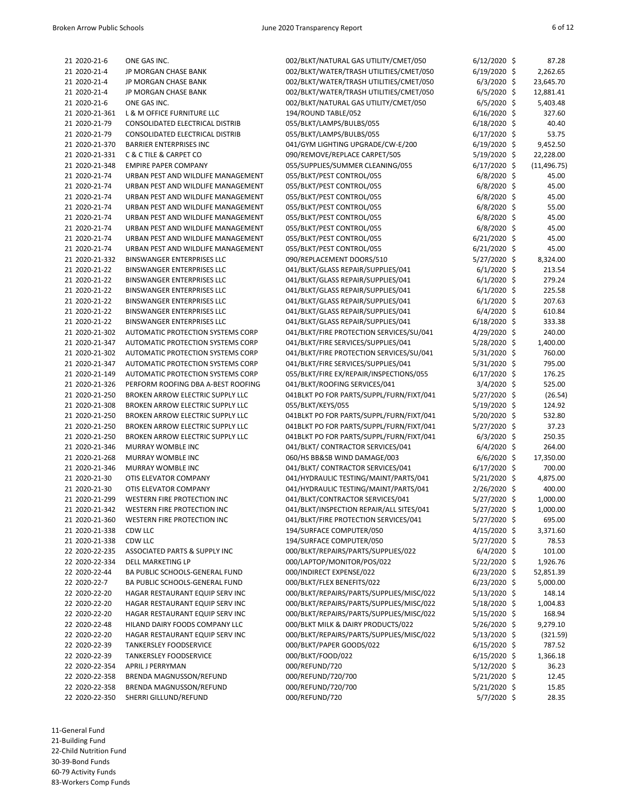| I |  |  |  |
|---|--|--|--|
|---|--|--|--|

| 21 2020-21-6   | ONE GAS INC.                            | 002/BLKT/NATURAL GAS UTILITY/CMET/050    | 6/12/2020 \$   | 87.28        |
|----------------|-----------------------------------------|------------------------------------------|----------------|--------------|
|                |                                         |                                          |                |              |
| 21 2020-21-4   | JP MORGAN CHASE BANK                    | 002/BLKT/WATER/TRASH UTILITIES/CMET/050  | 6/19/2020 \$   | 2,262.65     |
| 21 2020-21-4   | <b>JP MORGAN CHASE BANK</b>             | 002/BLKT/WATER/TRASH UTILITIES/CMET/050  | 6/3/2020 \$    | 23,645.70    |
| 21 2020-21-4   | <b>JP MORGAN CHASE BANK</b>             | 002/BLKT/WATER/TRASH UTILITIES/CMET/050  | $6/5/2020$ \$  | 12,881.41    |
| 21 2020-21-6   | ONE GAS INC.                            | 002/BLKT/NATURAL GAS UTILITY/CMET/050    | $6/5/2020$ \$  | 5,403.48     |
| 21 2020-21-361 | L & M OFFICE FURNITURE LLC              | 194/ROUND TABLE/052                      | 6/16/2020 \$   | 327.60       |
| 21 2020-21-79  | CONSOLIDATED ELECTRICAL DISTRIB         | 055/BLKT/LAMPS/BULBS/055                 | 6/18/2020 \$   | 40.40        |
| 21 2020-21-79  | CONSOLIDATED ELECTRICAL DISTRIB         | 055/BLKT/LAMPS/BULBS/055                 | 6/17/2020 \$   | 53.75        |
| 21 2020-21-370 | <b>BARRIER ENTERPRISES INC</b>          | 041/GYM LIGHTING UPGRADE/CW-E/200        | 6/19/2020 \$   | 9,452.50     |
| 21 2020-21-331 | C & C TILE & CARPET CO                  | 090/REMOVE/REPLACE CARPET/505            | 5/19/2020 \$   | 22,228.00    |
| 21 2020-21-348 | <b>EMPIRE PAPER COMPANY</b>             | 055/SUPPLIES/SUMMER CLEANING/055         | $6/17/2020$ \$ | (11, 496.75) |
| 21 2020-21-74  | URBAN PEST AND WILDLIFE MANAGEMENT      | 055/BLKT/PEST CONTROL/055                | $6/8/2020$ \$  | 45.00        |
| 21 2020-21-74  | URBAN PEST AND WILDLIFE MANAGEMENT      | 055/BLKT/PEST CONTROL/055                | 6/8/2020 \$    | 45.00        |
|                |                                         |                                          |                |              |
| 21 2020-21-74  | URBAN PEST AND WILDLIFE MANAGEMENT      | 055/BLKT/PEST CONTROL/055                | $6/8/2020$ \$  | 45.00        |
| 21 2020-21-74  | URBAN PEST AND WILDLIFE MANAGEMENT      | 055/BLKT/PEST CONTROL/055                | $6/8/2020$ \$  | 55.00        |
| 21 2020-21-74  | URBAN PEST AND WILDLIFE MANAGEMENT      | 055/BLKT/PEST CONTROL/055                | $6/8/2020$ \$  | 45.00        |
| 21 2020-21-74  | URBAN PEST AND WILDLIFE MANAGEMENT      | 055/BLKT/PEST CONTROL/055                | $6/8/2020$ \$  | 45.00        |
| 21 2020-21-74  | URBAN PEST AND WILDLIFE MANAGEMENT      | 055/BLKT/PEST CONTROL/055                | 6/21/2020 \$   | 45.00        |
| 21 2020-21-74  | URBAN PEST AND WILDLIFE MANAGEMENT      | 055/BLKT/PEST CONTROL/055                | $6/21/2020$ \$ | 45.00        |
| 21 2020-21-332 | <b>BINSWANGER ENTERPRISES LLC</b>       | 090/REPLACEMENT DOORS/510                | 5/27/2020 \$   | 8,324.00     |
| 21 2020-21-22  | BINSWANGER ENTERPRISES LLC              | 041/BLKT/GLASS REPAIR/SUPPLIES/041       | $6/1/2020$ \$  | 213.54       |
| 21 2020-21-22  | <b>BINSWANGER ENTERPRISES LLC</b>       | 041/BLKT/GLASS REPAIR/SUPPLIES/041       | $6/1/2020$ \$  | 279.24       |
| 21 2020-21-22  | <b>BINSWANGER ENTERPRISES LLC</b>       | 041/BLKT/GLASS REPAIR/SUPPLIES/041       | $6/1/2020$ \$  | 225.58       |
| 21 2020-21-22  | <b>BINSWANGER ENTERPRISES LLC</b>       | 041/BLKT/GLASS REPAIR/SUPPLIES/041       | $6/1/2020$ \$  | 207.63       |
| 21 2020-21-22  | BINSWANGER ENTERPRISES LLC              | 041/BLKT/GLASS REPAIR/SUPPLIES/041       | $6/4/2020$ \$  | 610.84       |
| 21 2020-21-22  | BINSWANGER ENTERPRISES LLC              | 041/BLKT/GLASS REPAIR/SUPPLIES/041       | 6/18/2020 \$   | 333.38       |
| 21 2020-21-302 | AUTOMATIC PROTECTION SYSTEMS CORP       | 041/BLKT/FIRE PROTECTION SERVICES/SU/041 | 4/29/2020 \$   | 240.00       |
|                | AUTOMATIC PROTECTION SYSTEMS CORP       | 041/BLKT/FIRE SERVICES/SUPPLIES/041      |                |              |
| 21 2020-21-347 |                                         |                                          | 5/28/2020 \$   | 1,400.00     |
| 21 2020-21-302 | AUTOMATIC PROTECTION SYSTEMS CORP       | 041/BLKT/FIRE PROTECTION SERVICES/SU/041 | 5/31/2020 \$   | 760.00       |
| 21 2020-21-347 | AUTOMATIC PROTECTION SYSTEMS CORP       | 041/BLKT/FIRE SERVICES/SUPPLIES/041      | 5/31/2020 \$   | 795.00       |
| 21 2020-21-149 | AUTOMATIC PROTECTION SYSTEMS CORP       | 055/BLKT/FIRE EX/REPAIR/INSPECTIONS/055  | $6/17/2020$ \$ | 176.25       |
| 21 2020-21-326 | PERFORM ROOFING DBA A-BEST ROOFING      | 041/BLKT/ROOFING SERVICES/041            | $3/4/2020$ \$  | 525.00       |
| 21 2020-21-250 | BROKEN ARROW ELECTRIC SUPPLY LLC        | 041BLKT PO FOR PARTS/SUPPL/FURN/FIXT/041 | 5/27/2020 \$   | (26.54)      |
| 21 2020-21-308 | <b>BROKEN ARROW ELECTRIC SUPPLY LLC</b> | 055/BLKT/KEYS/055                        | 5/19/2020 \$   | 124.92       |
| 21 2020-21-250 | BROKEN ARROW ELECTRIC SUPPLY LLC        | 041BLKT PO FOR PARTS/SUPPL/FURN/FIXT/041 | 5/20/2020 \$   | 532.80       |
| 21 2020-21-250 | BROKEN ARROW ELECTRIC SUPPLY LLC        | 041BLKT PO FOR PARTS/SUPPL/FURN/FIXT/041 | 5/27/2020 \$   | 37.23        |
| 21 2020-21-250 | BROKEN ARROW ELECTRIC SUPPLY LLC        | 041BLKT PO FOR PARTS/SUPPL/FURN/FIXT/041 | $6/3/2020$ \$  | 250.35       |
| 21 2020-21-346 | MURRAY WOMBLE INC                       | 041/BLKT/ CONTRACTOR SERVICES/041        | $6/4/2020$ \$  | 264.00       |
| 21 2020-21-268 | <b>MURRAY WOMBLE INC</b>                | 060/HS BB&SB WIND DAMAGE/003             | $6/6/2020$ \$  | 17,350.00    |
| 21 2020-21-346 | <b>MURRAY WOMBLE INC</b>                | 041/BLKT/ CONTRACTOR SERVICES/041        | 6/17/2020 \$   | 700.00       |
| 21 2020-21-30  | OTIS ELEVATOR COMPANY                   | 041/HYDRAULIC TESTING/MAINT/PARTS/041    | $5/21/2020$ \$ | 4,875.00     |
| 21 2020-21-30  | OTIS ELEVATOR COMPANY                   | 041/HYDRAULIC TESTING/MAINT/PARTS/041    | 2/26/2020 \$   | 400.00       |
| 21 2020-21-299 | <b>WESTERN FIRE PROTECTION INC</b>      |                                          | 5/27/2020 \$   | 1,000.00     |
|                |                                         | 041/BLKT/CONTRACTOR SERVICES/041         |                |              |
| 21 2020-21-342 | WESTERN FIRE PROTECTION INC             | 041/BLKT/INSPECTION REPAIR/ALL SITES/041 | 5/27/2020 \$   | 1,000.00     |
| 21 2020-21-360 | WESTERN FIRE PROTECTION INC             | 041/BLKT/FIRE PROTECTION SERVICES/041    | 5/27/2020 \$   | 695.00       |
| 21 2020-21-338 | CDW LLC                                 | 194/SURFACE COMPUTER/050                 | 4/15/2020 \$   | 3,371.60     |
| 21 2020-21-338 | CDW LLC                                 | 194/SURFACE COMPUTER/050                 | 5/27/2020 \$   | 78.53        |
| 22 2020-22-235 | ASSOCIATED PARTS & SUPPLY INC           | 000/BLKT/REPAIRS/PARTS/SUPPLIES/022      | $6/4/2020$ \$  | 101.00       |
| 22 2020-22-334 | DELL MARKETING LP                       | 000/LAPTOP/MONITOR/POS/022               | 5/22/2020 \$   | 1,926.76     |
| 22 2020-22-44  | BA PUBLIC SCHOOLS-GENERAL FUND          | 000/INDIRECT EXPENSE/022                 | $6/23/2020$ \$ | 52,851.39    |
| 22 2020-22-7   | BA PUBLIC SCHOOLS-GENERAL FUND          | 000/BLKT/FLEX BENEFITS/022               | 6/23/2020 \$   | 5,000.00     |
| 22 2020-22-20  | HAGAR RESTAURANT EQUIP SERV INC         | 000/BLKT/REPAIRS/PARTS/SUPPLIES/MISC/022 | $5/13/2020$ \$ | 148.14       |
| 22 2020-22-20  | HAGAR RESTAURANT EQUIP SERV INC         | 000/BLKT/REPAIRS/PARTS/SUPPLIES/MISC/022 | $5/18/2020$ \$ | 1,004.83     |
| 22 2020-22-20  | HAGAR RESTAURANT EQUIP SERV INC         | 000/BLKT/REPAIRS/PARTS/SUPPLIES/MISC/022 | 5/15/2020 \$   | 168.94       |
| 22 2020-22-48  | HILAND DAIRY FOODS COMPANY LLC          | 000/BLKT MILK & DAIRY PRODUCTS/022       | 5/26/2020 \$   | 9,279.10     |
| 22 2020-22-20  | HAGAR RESTAURANT EQUIP SERV INC         | 000/BLKT/REPAIRS/PARTS/SUPPLIES/MISC/022 | $5/13/2020$ \$ | (321.59)     |
| 22 2020-22-39  | <b>TANKERSLEY FOODSERVICE</b>           | 000/BLKT/PAPER GOODS/022                 | 6/15/2020 \$   | 787.52       |
|                | <b>TANKERSLEY FOODSERVICE</b>           | 000/BLKT/FOOD/022                        |                |              |
| 22 2020-22-39  |                                         |                                          | $6/15/2020$ \$ | 1,366.18     |
| 22 2020-22-354 | APRIL J PERRYMAN                        | 000/REFUND/720                           | 5/12/2020 \$   | 36.23        |
| 22 2020-22-358 | BRENDA MAGNUSSON/REFUND                 | 000/REFUND/720/700                       | 5/21/2020 \$   | 12.45        |
| 22 2020-22-358 | BRENDA MAGNUSSON/REFUND                 | 000/REFUND/720/700                       | 5/21/2020 \$   | 15.85        |
| 22 2020-22-350 | SHERRI GILLUND/REFUND                   | 000/REFUND/720                           | $5/7/2020$ \$  | 28.35        |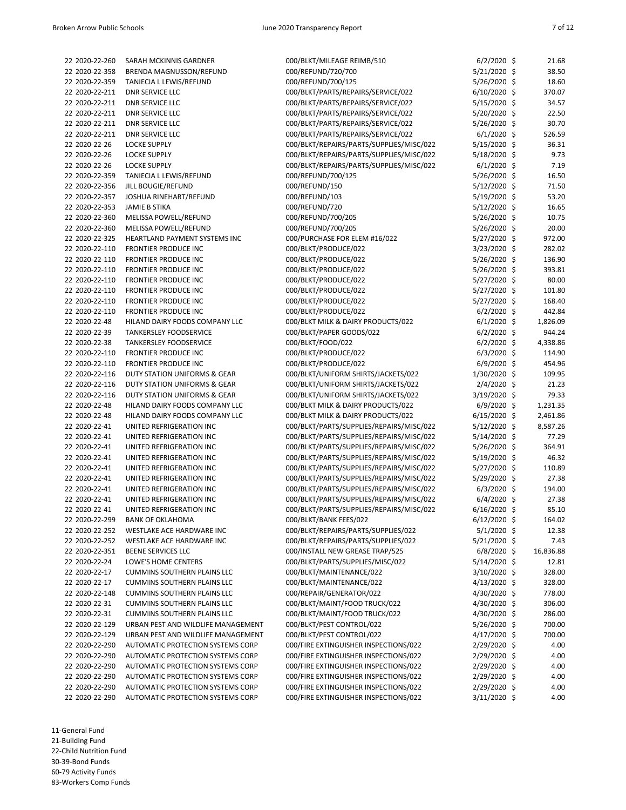| 22 2020-22-260 | SARAH MCKINNIS GARDNER             | 000/BLKT/MILEAGE REIMB/510               | $6/2/2020$ \$  | 21.68     |
|----------------|------------------------------------|------------------------------------------|----------------|-----------|
| 22 2020-22-358 | BRENDA MAGNUSSON/REFUND            | 000/REFUND/720/700                       | 5/21/2020 \$   | 38.50     |
| 22 2020-22-359 | TANIECIA L LEWIS/REFUND            | 000/REFUND/700/125                       | 5/26/2020 \$   | 18.60     |
| 22 2020-22-211 | <b>DNR SERVICE LLC</b>             | 000/BLKT/PARTS/REPAIRS/SERVICE/022       | $6/10/2020$ \$ | 370.07    |
| 22 2020-22-211 | <b>DNR SERVICE LLC</b>             | 000/BLKT/PARTS/REPAIRS/SERVICE/022       | 5/15/2020 \$   | 34.57     |
| 22 2020-22-211 | <b>DNR SERVICE LLC</b>             | 000/BLKT/PARTS/REPAIRS/SERVICE/022       | 5/20/2020 \$   | 22.50     |
| 22 2020-22-211 | <b>DNR SERVICE LLC</b>             | 000/BLKT/PARTS/REPAIRS/SERVICE/022       | 5/26/2020 \$   | 30.70     |
| 22 2020-22-211 | <b>DNR SERVICE LLC</b>             | 000/BLKT/PARTS/REPAIRS/SERVICE/022       | $6/1/2020$ \$  | 526.59    |
| 22 2020-22-26  | <b>LOCKE SUPPLY</b>                | 000/BLKT/REPAIRS/PARTS/SUPPLIES/MISC/022 | 5/15/2020 \$   | 36.31     |
| 22 2020-22-26  | <b>LOCKE SUPPLY</b>                | 000/BLKT/REPAIRS/PARTS/SUPPLIES/MISC/022 | 5/18/2020 \$   | 9.73      |
| 22 2020-22-26  | <b>LOCKE SUPPLY</b>                | 000/BLKT/REPAIRS/PARTS/SUPPLIES/MISC/022 | $6/1/2020$ \$  | 7.19      |
| 22 2020-22-359 | TANIECIA L LEWIS/REFUND            | 000/REFUND/700/125                       | 5/26/2020 \$   | 16.50     |
| 22 2020-22-356 | JILL BOUGIE/REFUND                 | 000/REFUND/150                           | 5/12/2020 \$   | 71.50     |
| 22 2020-22-357 | JOSHUA RINEHART/REFUND             | 000/REFUND/103                           | 5/19/2020 \$   | 53.20     |
| 22 2020-22-353 | <b>JAMIE B STIKA</b>               | 000/REFUND/720                           | 5/12/2020 \$   | 16.65     |
| 22 2020-22-360 | MELISSA POWELL/REFUND              | 000/REFUND/700/205                       | 5/26/2020 \$   | 10.75     |
| 22 2020-22-360 | MELISSA POWELL/REFUND              | 000/REFUND/700/205                       | 5/26/2020 \$   | 20.00     |
| 22 2020-22-325 | HEARTLAND PAYMENT SYSTEMS INC      | 000/PURCHASE FOR ELEM #16/022            | 5/27/2020 \$   | 972.00    |
|                |                                    |                                          |                |           |
| 22 2020-22-110 | FRONTIER PRODUCE INC               | 000/BLKT/PRODUCE/022                     | $3/23/2020$ \$ | 282.02    |
| 22 2020-22-110 | FRONTIER PRODUCE INC               | 000/BLKT/PRODUCE/022                     | 5/26/2020 \$   | 136.90    |
| 22 2020-22-110 | <b>FRONTIER PRODUCE INC</b>        | 000/BLKT/PRODUCE/022                     | 5/26/2020 \$   | 393.81    |
| 22 2020-22-110 | FRONTIER PRODUCE INC               | 000/BLKT/PRODUCE/022                     | 5/27/2020 \$   | 80.00     |
| 22 2020-22-110 | FRONTIER PRODUCE INC               | 000/BLKT/PRODUCE/022                     | $5/27/2020$ \$ | 101.80    |
| 22 2020-22-110 | FRONTIER PRODUCE INC               | 000/BLKT/PRODUCE/022                     | 5/27/2020 \$   | 168.40    |
| 22 2020-22-110 | FRONTIER PRODUCE INC               | 000/BLKT/PRODUCE/022                     | $6/2/2020$ \$  | 442.84    |
| 22 2020-22-48  | HILAND DAIRY FOODS COMPANY LLC     | 000/BLKT MILK & DAIRY PRODUCTS/022       | $6/1/2020$ \$  | 1,826.09  |
| 22 2020-22-39  | <b>TANKERSLEY FOODSERVICE</b>      | 000/BLKT/PAPER GOODS/022                 | $6/2/2020$ \$  | 944.24    |
| 22 2020-22-38  | <b>TANKERSLEY FOODSERVICE</b>      | 000/BLKT/FOOD/022                        | $6/2/2020$ \$  | 4,338.86  |
| 22 2020-22-110 | <b>FRONTIER PRODUCE INC</b>        | 000/BLKT/PRODUCE/022                     | $6/3/2020$ \$  | 114.90    |
| 22 2020-22-110 | FRONTIER PRODUCE INC               | 000/BLKT/PRODUCE/022                     | $6/9/2020$ \$  | 454.96    |
| 22 2020-22-116 | DUTY STATION UNIFORMS & GEAR       | 000/BLKT/UNIFORM SHIRTS/JACKETS/022      | 1/30/2020 \$   | 109.95    |
| 22 2020-22-116 | DUTY STATION UNIFORMS & GEAR       | 000/BLKT/UNIFORM SHIRTS/JACKETS/022      | 2/4/2020 \$    | 21.23     |
| 22 2020-22-116 | DUTY STATION UNIFORMS & GEAR       | 000/BLKT/UNIFORM SHIRTS/JACKETS/022      | $3/19/2020$ \$ | 79.33     |
| 22 2020-22-48  | HILAND DAIRY FOODS COMPANY LLC     | 000/BLKT MILK & DAIRY PRODUCTS/022       | 6/9/2020 \$    | 1,231.35  |
| 22 2020-22-48  | HILAND DAIRY FOODS COMPANY LLC     | 000/BLKT MILK & DAIRY PRODUCTS/022       | $6/15/2020$ \$ | 2,461.86  |
| 22 2020-22-41  | UNITED REFRIGERATION INC           | 000/BLKT/PARTS/SUPPLIES/REPAIRS/MISC/022 | 5/12/2020 \$   | 8,587.26  |
| 22 2020-22-41  | UNITED REFRIGERATION INC           | 000/BLKT/PARTS/SUPPLIES/REPAIRS/MISC/022 | 5/14/2020 \$   | 77.29     |
| 22 2020-22-41  | UNITED REFRIGERATION INC           | 000/BLKT/PARTS/SUPPLIES/REPAIRS/MISC/022 | $5/26/2020$ \$ | 364.91    |
| 22 2020-22-41  | UNITED REFRIGERATION INC           | 000/BLKT/PARTS/SUPPLIES/REPAIRS/MISC/022 | $5/19/2020$ \$ | 46.32     |
| 22 2020-22-41  | UNITED REFRIGERATION INC           | 000/BLKT/PARTS/SUPPLIES/REPAIRS/MISC/022 | 5/27/2020 \$   | 110.89    |
| 22 2020-22-41  | UNITED REFRIGERATION INC           | 000/BLKT/PARTS/SUPPLIES/REPAIRS/MISC/022 | 5/29/2020 \$   | 27.38     |
| 22 2020-22-41  | UNITED REFRIGERATION INC           | 000/BLKT/PARTS/SUPPLIES/REPAIRS/MISC/022 | $6/3/2020$ \$  | 194.00    |
| 22 2020-22-41  | UNITED REFRIGERATION INC           | 000/BLKT/PARTS/SUPPLIES/REPAIRS/MISC/022 | 6/4/2020 \$    | 27.38     |
| 22 2020-22-41  | UNITED REFRIGERATION INC           | 000/BLKT/PARTS/SUPPLIES/REPAIRS/MISC/022 | 6/16/2020 \$   | 85.10     |
| 22 2020-22-299 | <b>BANK OF OKLAHOMA</b>            | 000/BLKT/BANK FEES/022                   | $6/12/2020$ \$ | 164.02    |
| 22 2020-22-252 | WESTLAKE ACE HARDWARE INC          | 000/BLKT/REPAIRS/PARTS/SUPPLIES/022      | $5/1/2020$ \$  | 12.38     |
| 22 2020-22-252 | WESTLAKE ACE HARDWARE INC          | 000/BLKT/REPAIRS/PARTS/SUPPLIES/022      | $5/21/2020$ \$ | 7.43      |
| 22 2020-22-351 | BEENE SERVICES LLC                 | 000/INSTALL NEW GREASE TRAP/525          | $6/8/2020$ \$  | 16,836.88 |
| 22 2020-22-24  | LOWE'S HOME CENTERS                | 000/BLKT/PARTS/SUPPLIES/MISC/022         |                | 12.81     |
|                |                                    |                                          | $5/14/2020$ \$ |           |
| 22 2020-22-17  | <b>CUMMINS SOUTHERN PLAINS LLC</b> | 000/BLKT/MAINTENANCE/022                 | $3/10/2020$ \$ | 328.00    |
| 22 2020-22-17  | <b>CUMMINS SOUTHERN PLAINS LLC</b> | 000/BLKT/MAINTENANCE/022                 | $4/13/2020$ \$ | 328.00    |
| 22 2020-22-148 | <b>CUMMINS SOUTHERN PLAINS LLC</b> | 000/REPAIR/GENERATOR/022                 | 4/30/2020 \$   | 778.00    |
| 22 2020-22-31  | <b>CUMMINS SOUTHERN PLAINS LLC</b> | 000/BLKT/MAINT/FOOD TRUCK/022            | 4/30/2020 \$   | 306.00    |
| 22 2020-22-31  | <b>CUMMINS SOUTHERN PLAINS LLC</b> | 000/BLKT/MAINT/FOOD TRUCK/022            | 4/30/2020 \$   | 286.00    |
| 22 2020-22-129 | URBAN PEST AND WILDLIFE MANAGEMENT | 000/BLKT/PEST CONTROL/022                | $5/26/2020$ \$ | 700.00    |
| 22 2020-22-129 | URBAN PEST AND WILDLIFE MANAGEMENT | 000/BLKT/PEST CONTROL/022                | 4/17/2020 \$   | 700.00    |
| 22 2020-22-290 | AUTOMATIC PROTECTION SYSTEMS CORP  | 000/FIRE EXTINGUISHER INSPECTIONS/022    | $2/29/2020$ \$ | 4.00      |
| 22 2020-22-290 | AUTOMATIC PROTECTION SYSTEMS CORP  | 000/FIRE EXTINGUISHER INSPECTIONS/022    | $2/29/2020$ \$ | 4.00      |
| 22 2020-22-290 | AUTOMATIC PROTECTION SYSTEMS CORP  | 000/FIRE EXTINGUISHER INSPECTIONS/022    | $2/29/2020$ \$ | 4.00      |
| 22 2020-22-290 | AUTOMATIC PROTECTION SYSTEMS CORP  | 000/FIRE EXTINGUISHER INSPECTIONS/022    | $2/29/2020$ \$ | 4.00      |
| 22 2020-22-290 | AUTOMATIC PROTECTION SYSTEMS CORP  | 000/FIRE EXTINGUISHER INSPECTIONS/022    | $2/29/2020$ \$ | 4.00      |
| 22 2020-22-290 | AUTOMATIC PROTECTION SYSTEMS CORP  | 000/FIRE EXTINGUISHER INSPECTIONS/022    | 3/11/2020 \$   | 4.00      |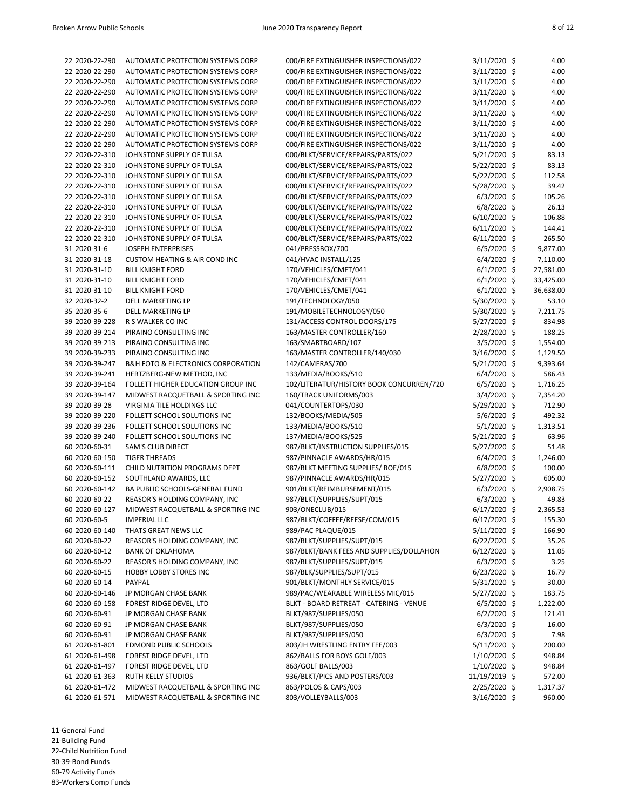| 22 2020-22-290 | AUTOMATIC PROTECTION SYSTEMS CORP                 | 000/FIRE EXTINGUISHER INSPECTIONS/022               | 3/11/2020 \$   | 4.00      |
|----------------|---------------------------------------------------|-----------------------------------------------------|----------------|-----------|
| 22 2020-22-290 | AUTOMATIC PROTECTION SYSTEMS CORP                 | 000/FIRE EXTINGUISHER INSPECTIONS/022               | 3/11/2020 \$   | 4.00      |
| 22 2020-22-290 | AUTOMATIC PROTECTION SYSTEMS CORP                 | 000/FIRE EXTINGUISHER INSPECTIONS/022               | 3/11/2020 \$   | 4.00      |
| 22 2020-22-290 | AUTOMATIC PROTECTION SYSTEMS CORP                 | 000/FIRE EXTINGUISHER INSPECTIONS/022               | 3/11/2020 \$   | 4.00      |
| 22 2020-22-290 | AUTOMATIC PROTECTION SYSTEMS CORP                 | 000/FIRE EXTINGUISHER INSPECTIONS/022               | 3/11/2020 \$   | 4.00      |
| 22 2020-22-290 | AUTOMATIC PROTECTION SYSTEMS CORP                 | 000/FIRE EXTINGUISHER INSPECTIONS/022               | $3/11/2020$ \$ | 4.00      |
| 22 2020-22-290 | AUTOMATIC PROTECTION SYSTEMS CORP                 | 000/FIRE EXTINGUISHER INSPECTIONS/022               | $3/11/2020$ \$ | 4.00      |
| 22 2020-22-290 | AUTOMATIC PROTECTION SYSTEMS CORP                 | 000/FIRE EXTINGUISHER INSPECTIONS/022               | 3/11/2020 \$   | 4.00      |
| 22 2020-22-290 | AUTOMATIC PROTECTION SYSTEMS CORP                 | 000/FIRE EXTINGUISHER INSPECTIONS/022               | $3/11/2020$ \$ | 4.00      |
| 22 2020-22-310 | JOHNSTONE SUPPLY OF TULSA                         | 000/BLKT/SERVICE/REPAIRS/PARTS/022                  | 5/21/2020 \$   | 83.13     |
| 22 2020-22-310 | JOHNSTONE SUPPLY OF TULSA                         | 000/BLKT/SERVICE/REPAIRS/PARTS/022                  | 5/22/2020 \$   | 83.13     |
| 22 2020-22-310 | JOHNSTONE SUPPLY OF TULSA                         | 000/BLKT/SERVICE/REPAIRS/PARTS/022                  | $5/22/2020$ \$ | 112.58    |
| 22 2020-22-310 | JOHNSTONE SUPPLY OF TULSA                         | 000/BLKT/SERVICE/REPAIRS/PARTS/022                  | 5/28/2020 \$   | 39.42     |
| 22 2020-22-310 | JOHNSTONE SUPPLY OF TULSA                         | 000/BLKT/SERVICE/REPAIRS/PARTS/022                  | $6/3/2020$ \$  | 105.26    |
| 22 2020-22-310 | JOHNSTONE SUPPLY OF TULSA                         | 000/BLKT/SERVICE/REPAIRS/PARTS/022                  | 6/8/2020 \$    | 26.13     |
| 22 2020-22-310 | JOHNSTONE SUPPLY OF TULSA                         | 000/BLKT/SERVICE/REPAIRS/PARTS/022                  | $6/10/2020$ \$ | 106.88    |
| 22 2020-22-310 | JOHNSTONE SUPPLY OF TULSA                         |                                                     |                | 144.41    |
|                |                                                   | 000/BLKT/SERVICE/REPAIRS/PARTS/022                  | $6/11/2020$ \$ |           |
| 22 2020-22-310 | JOHNSTONE SUPPLY OF TULSA                         | 000/BLKT/SERVICE/REPAIRS/PARTS/022                  | 6/11/2020 \$   | 265.50    |
| 31 2020-31-6   | <b>JOSEPH ENTERPRISES</b>                         | 041/PRESSBOX/700                                    | 6/5/2020 \$    | 9,877.00  |
| 31 2020-31-18  | <b>CUSTOM HEATING &amp; AIR COND INC</b>          | 041/HVAC INSTALL/125                                | $6/4/2020$ \$  | 7,110.00  |
| 31 2020-31-10  | <b>BILL KNIGHT FORD</b>                           | 170/VEHICLES/CMET/041                               | $6/1/2020$ \$  | 27,581.00 |
| 31 2020-31-10  | <b>BILL KNIGHT FORD</b>                           | 170/VEHICLES/CMET/041                               | $6/1/2020$ \$  | 33,425.00 |
| 31 2020-31-10  | <b>BILL KNIGHT FORD</b>                           | 170/VEHICLES/CMET/041                               | $6/1/2020$ \$  | 36,638.00 |
| 32 2020-32-2   | DELL MARKETING LP                                 | 191/TECHNOLOGY/050                                  | 5/30/2020 \$   | 53.10     |
| 35 2020-35-6   | DELL MARKETING LP                                 | 191/MOBILETECHNOLOGY/050                            | 5/30/2020 \$   | 7,211.75  |
| 39 2020-39-228 | R S WALKER CO INC                                 | 131/ACCESS CONTROL DOORS/175                        | 5/27/2020 \$   | 834.98    |
| 39 2020-39-214 | PIRAINO CONSULTING INC                            | 163/MASTER CONTROLLER/160                           | $2/28/2020$ \$ | 188.25    |
| 39 2020-39-213 | PIRAINO CONSULTING INC                            | 163/SMARTBOARD/107                                  | 3/5/2020 \$    | 1,554.00  |
| 39 2020-39-233 | PIRAINO CONSULTING INC                            | 163/MASTER CONTROLLER/140/030                       | 3/16/2020 \$   | 1,129.50  |
| 39 2020-39-247 | <b>B&amp;H FOTO &amp; ELECTRONICS CORPORATION</b> | 142/CAMERAS/700                                     | 5/21/2020 \$   | 9,393.64  |
| 39 2020-39-241 | HERTZBERG-NEW METHOD, INC                         | 133/MEDIA/BOOKS/510                                 | $6/4/2020$ \$  | 586.43    |
| 39 2020-39-164 | FOLLETT HIGHER EDUCATION GROUP INC                | 102/LITERATUR/HISTORY BOOK CONCURREN/720            | $6/5/2020$ \$  | 1,716.25  |
| 39 2020-39-147 | MIDWEST RACQUETBALL & SPORTING INC                | 160/TRACK UNIFORMS/003                              | 3/4/2020 \$    | 7,354.20  |
| 39 2020-39-28  | VIRGINIA TILE HOLDINGS LLC                        | 041/COUNTERTOPS/030                                 | 5/29/2020 \$   | 712.90    |
| 39 2020-39-220 | FOLLETT SCHOOL SOLUTIONS INC                      | 132/BOOKS/MEDIA/505                                 | 5/6/2020 \$    | 492.32    |
| 39 2020-39-236 | FOLLETT SCHOOL SOLUTIONS INC                      | 133/MEDIA/BOOKS/510                                 | $5/1/2020$ \$  | 1,313.51  |
| 39 2020-39-240 | FOLLETT SCHOOL SOLUTIONS INC                      | 137/MEDIA/BOOKS/525                                 | $5/21/2020$ \$ | 63.96     |
| 60 2020-60-31  | SAM'S CLUB DIRECT                                 | 987/BLKT/INSTRUCTION SUPPLIES/015                   | 5/27/2020 \$   | 51.48     |
| 60 2020-60-150 | <b>TIGER THREADS</b>                              | 987/PINNACLE AWARDS/HR/015                          | $6/4/2020$ \$  | 1,246.00  |
| 60 2020-60-111 | CHILD NUTRITION PROGRAMS DEPT                     | 987/BLKT MEETING SUPPLIES/ BOE/015                  | $6/8/2020$ \$  | 100.00    |
| 60 2020-60-152 | SOUTHLAND AWARDS, LLC                             | 987/PINNACLE AWARDS/HR/015                          | 5/27/2020 \$   | 605.00    |
| 60 2020-60-142 | BA PUBLIC SCHOOLS-GENERAL FUND                    | 901/BLKT/REIMBURSEMENT/015                          | $6/3/2020$ \$  | 2,908.75  |
| 60 2020-60-22  | REASOR'S HOLDING COMPANY, INC                     | 987/BLKT/SUPPLIES/SUPT/015                          | $6/3/2020$ \$  | 49.83     |
| 60 2020-60-127 | MIDWEST RACQUETBALL & SPORTING INC                | 903/ONECLUB/015                                     | $6/17/2020$ \$ | 2,365.53  |
|                |                                                   |                                                     | $6/17/2020$ \$ |           |
| 60 2020-60-5   | <b>IMPERIAL LLC</b>                               | 987/BLKT/COFFEE/REESE/COM/015<br>989/PAC PLAQUE/015 |                | 155.30    |
| 60 2020-60-140 | THATS GREAT NEWS LLC                              |                                                     | 5/11/2020 \$   | 166.90    |
| 60 2020-60-22  | REASOR'S HOLDING COMPANY, INC                     | 987/BLKT/SUPPLIES/SUPT/015                          | $6/22/2020$ \$ | 35.26     |
| 60 2020-60-12  | <b>BANK OF OKLAHOMA</b>                           | 987/BLKT/BANK FEES AND SUPPLIES/DOLLAHON            | $6/12/2020$ \$ | 11.05     |
| 60 2020-60-22  | REASOR'S HOLDING COMPANY, INC                     | 987/BLKT/SUPPLIES/SUPT/015                          | $6/3/2020$ \$  | 3.25      |
| 60 2020-60-15  | HOBBY LOBBY STORES INC                            | 987/BLK/SUPPLIES/SUPT/015                           | 6/23/2020 \$   | 16.79     |
| 60 2020-60-14  | PAYPAL                                            | 901/BLKT/MONTHLY SERVICE/015                        | 5/31/2020 \$   | 30.00     |
| 60 2020-60-146 | JP MORGAN CHASE BANK                              | 989/PAC/WEARABLE WIRELESS MIC/015                   | $5/27/2020$ \$ | 183.75    |
| 60 2020-60-158 | FOREST RIDGE DEVEL, LTD                           | BLKT - BOARD RETREAT - CATERING - VENUE             | $6/5/2020$ \$  | 1,222.00  |
| 60 2020-60-91  | JP MORGAN CHASE BANK                              | BLKT/987/SUPPLIES/050                               | $6/2/2020$ \$  | 121.41    |
| 60 2020-60-91  | JP MORGAN CHASE BANK                              | BLKT/987/SUPPLIES/050                               | $6/3/2020$ \$  | 16.00     |
| 60 2020-60-91  | JP MORGAN CHASE BANK                              | BLKT/987/SUPPLIES/050                               | $6/3/2020$ \$  | 7.98      |
| 61 2020-61-801 | <b>EDMOND PUBLIC SCHOOLS</b>                      | 803/JH WRESTLING ENTRY FEE/003                      | $5/11/2020$ \$ | 200.00    |
| 61 2020-61-498 | FOREST RIDGE DEVEL, LTD                           | 862/BALLS FOR BOYS GOLF/003                         | $1/10/2020$ \$ | 948.84    |
| 61 2020-61-497 | FOREST RIDGE DEVEL, LTD                           | 863/GOLF BALLS/003                                  | $1/10/2020$ \$ | 948.84    |
| 61 2020-61-363 | RUTH KELLY STUDIOS                                | 936/BLKT/PICS AND POSTERS/003                       | 11/19/2019 \$  | 572.00    |
| 61 2020-61-472 | MIDWEST RACQUETBALL & SPORTING INC                | 863/POLOS & CAPS/003                                | $2/25/2020$ \$ | 1,317.37  |
| 61 2020-61-571 | MIDWEST RACQUETBALL & SPORTING INC                | 803/VOLLEYBALLS/003                                 | $3/16/2020$ \$ | 960.00    |

11-General Fund 21-Building Fund

22-Child Nutrition Fund

30-39-Bond Funds

60-79 Activity Funds 83-Workers Comp Funds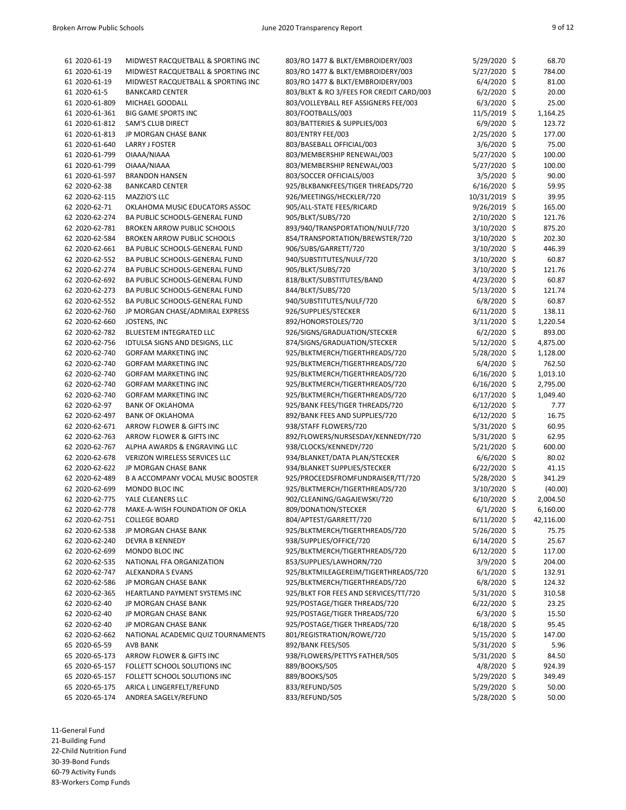| 61 2020-61-19  | MIDWEST RACQUETBALL & SPORTING INC       | 803/RO 1477 & BLKT/EMBROIDERY/003        | 5/29/2020 \$   | 68.70     |
|----------------|------------------------------------------|------------------------------------------|----------------|-----------|
| 61 2020-61-19  | MIDWEST RACQUETBALL & SPORTING INC       | 803/RO 1477 & BLKT/EMBROIDERY/003        | 5/27/2020 \$   | 784.00    |
| 61 2020-61-19  | MIDWEST RACQUETBALL & SPORTING INC       | 803/RO 1477 & BLKT/EMBROIDERY/003        | $6/4/2020$ \$  | 81.00     |
| 61 2020-61-5   | <b>BANKCARD CENTER</b>                   | 803/BLKT & RO 3/FEES FOR CREDIT CARD/003 | $6/2/2020$ \$  | 20.00     |
| 61 2020-61-809 | MICHAEL GOODALL                          | 803/VOLLEYBALL REF ASSIGNERS FEE/003     | $6/3/2020$ \$  | 25.00     |
| 61 2020-61-361 | <b>BIG GAME SPORTS INC</b>               | 803/FOOTBALLS/003                        | 11/5/2019 \$   | 1,164.25  |
| 61 2020-61-812 | <b>SAM'S CLUB DIRECT</b>                 | 803/BATTERIES & SUPPLIES/003             | 6/9/2020 \$    | 123.72    |
| 61 2020-61-813 | JP MORGAN CHASE BANK                     | 803/ENTRY FEE/003                        | 2/25/2020 \$   | 177.00    |
|                |                                          |                                          |                |           |
| 61 2020-61-640 | <b>LARRY J FOSTER</b>                    | 803/BASEBALL OFFICIAL/003                | $3/6/2020$ \$  | 75.00     |
| 61 2020-61-799 | OIAAA/NIAAA                              | 803/MEMBERSHIP RENEWAL/003               | 5/27/2020 \$   | 100.00    |
| 61 2020-61-799 | OIAAA/NIAAA                              | 803/MEMBERSHIP RENEWAL/003               | 5/27/2020 \$   | 100.00    |
| 61 2020-61-597 | <b>BRANDON HANSEN</b>                    | 803/SOCCER OFFICIALS/003                 | $3/5/2020$ \$  | 90.00     |
| 62 2020-62-38  | <b>BANKCARD CENTER</b>                   | 925/BLKBANKFEES/TIGER THREADS/720        | 6/16/2020 \$   | 59.95     |
| 62 2020-62-115 | MAZZIO'S LLC                             | 926/MEETINGS/HECKLER/720                 | 10/31/2019 \$  | 39.95     |
| 62 2020-62-71  | OKLAHOMA MUSIC EDUCATORS ASSOC           | 905/ALL-STATE FEES/RICARD                | 9/26/2019 \$   | 165.00    |
| 62 2020-62-274 | BA PUBLIC SCHOOLS-GENERAL FUND           | 905/BLKT/SUBS/720                        | 2/10/2020 \$   | 121.76    |
| 62 2020-62-781 | BROKEN ARROW PUBLIC SCHOOLS              | 893/940/TRANSPORTATION/NULF/720          | 3/10/2020 \$   | 875.20    |
| 62 2020-62-584 | BROKEN ARROW PUBLIC SCHOOLS              | 854/TRANSPORTATION/BREWSTER/720          | 3/10/2020 \$   | 202.30    |
|                |                                          |                                          |                | 446.39    |
| 62 2020-62-661 | BA PUBLIC SCHOOLS-GENERAL FUND           | 906/SUBS/GARRETT/720                     | 3/10/2020 \$   |           |
| 62 2020-62-552 | BA PUBLIC SCHOOLS-GENERAL FUND           | 940/SUBSTITUTES/NULF/720                 | 3/10/2020 \$   | 60.87     |
| 62 2020-62-274 | BA PUBLIC SCHOOLS-GENERAL FUND           | 905/BLKT/SUBS/720                        | 3/10/2020 \$   | 121.76    |
| 62 2020-62-692 | BA PUBLIC SCHOOLS-GENERAL FUND           | 818/BLKT/SUBSTITUTES/BAND                | 4/23/2020 \$   | 60.87     |
| 62 2020-62-273 | BA PUBLIC SCHOOLS-GENERAL FUND           | 844/BLKT/SUBS/720                        | 5/13/2020 \$   | 121.74    |
| 62 2020-62-552 | BA PUBLIC SCHOOLS-GENERAL FUND           | 940/SUBSTITUTES/NULF/720                 | $6/8/2020$ \$  | 60.87     |
| 62 2020-62-760 | JP MORGAN CHASE/ADMIRAL EXPRESS          | 926/SUPPLIES/STECKER                     | $6/11/2020$ \$ | 138.11    |
| 62 2020-62-660 | JOSTENS, INC                             | 892/HONORSTOLES/720                      | $3/11/2020$ \$ | 1,220.54  |
| 62 2020-62-782 | BLUESTEM INTEGRATED LLC                  | 926/SIGNS/GRADUATION/STECKER             | $6/2/2020$ \$  | 893.00    |
| 62 2020-62-756 | IDTULSA SIGNS AND DESIGNS, LLC           | 874/SIGNS/GRADUATION/STECKER             | 5/12/2020 \$   | 4,875.00  |
| 62 2020-62-740 | <b>GORFAM MARKETING INC</b>              | 925/BLKTMERCH/TIGERTHREADS/720           | 5/28/2020 \$   | 1,128.00  |
| 62 2020-62-740 | <b>GORFAM MARKETING INC</b>              | 925/BLKTMERCH/TIGERTHREADS/720           | $6/4/2020$ \$  | 762.50    |
| 62 2020-62-740 | <b>GORFAM MARKETING INC</b>              | 925/BLKTMERCH/TIGERTHREADS/720           | $6/16/2020$ \$ | 1,013.10  |
| 62 2020-62-740 | <b>GORFAM MARKETING INC</b>              | 925/BLKTMERCH/TIGERTHREADS/720           | 6/16/2020 \$   | 2,795.00  |
| 62 2020-62-740 | <b>GORFAM MARKETING INC</b>              | 925/BLKTMERCH/TIGERTHREADS/720           | 6/17/2020 \$   | 1,049.40  |
| 62 2020-62-97  | <b>BANK OF OKLAHOMA</b>                  | 925/BANK FEES/TIGER THREADS/720          | $6/12/2020$ \$ | 7.77      |
| 62 2020-62-497 | <b>BANK OF OKLAHOMA</b>                  | 892/BANK FEES AND SUPPLIES/720           | 6/12/2020 \$   | 16.75     |
| 62 2020-62-671 | ARROW FLOWER & GIFTS INC                 | 938/STAFF FLOWERS/720                    | 5/31/2020 \$   | 60.95     |
|                |                                          |                                          |                | 62.95     |
| 62 2020-62-763 | ARROW FLOWER & GIFTS INC                 | 892/FLOWERS/NURSESDAY/KENNEDY/720        | 5/31/2020 \$   |           |
| 62 2020-62-767 | ALPHA AWARDS & ENGRAVING LLC             | 938/CLOCKS/KENNEDY/720                   | 5/21/2020 \$   | 600.00    |
| 62 2020-62-678 | VERIZON WIRELESS SERVICES LLC            | 934/BLANKET/DATA PLAN/STECKER            | $6/6/2020$ \$  | 80.02     |
| 62 2020-62-622 | JP MORGAN CHASE BANK                     | 934/BLANKET SUPPLIES/STECKER             | 6/22/2020 \$   | 41.15     |
| 62 2020-62-489 | <b>B A ACCOMPANY VOCAL MUSIC BOOSTER</b> | 925/PROCEEDSFROMFUNDRAISER/TT/720        | 5/28/2020 \$   | 341.29    |
| 62 2020-62-699 | MONDO BLOC INC                           | 925/BLKTMERCH/TIGERTHREADS/720           | 3/10/2020 \$   | (40.00)   |
| 62 2020-62-775 | YALE CLEANERS LLC                        | 902/CLEANING/GAGAJEWSKI/720              | 6/10/2020 \$   | 2,004.50  |
| 62 2020-62-778 | MAKE-A-WISH FOUNDATION OF OKLA           | 809/DONATION/STECKER                     | $6/1/2020$ \$  | 6,160.00  |
| 62 2020-62-751 | <b>COLLEGE BOARD</b>                     | 804/APTEST/GARRETT/720                   | $6/11/2020$ \$ | 42,116.00 |
| 62 2020-62-538 | JP MORGAN CHASE BANK                     | 925/BLKTMERCH/TIGERTHREADS/720           | 5/26/2020 \$   | 75.75     |
| 62 2020-62-240 | DEVRA B KENNEDY                          | 938/SUPPLIES/OFFICE/720                  | $6/14/2020$ \$ | 25.67     |
| 62 2020-62-699 | MONDO BLOC INC                           | 925/BLKTMERCH/TIGERTHREADS/720           | 6/12/2020 \$   | 117.00    |
| 62 2020-62-535 | NATIONAL FFA ORGANIZATION                | 853/SUPPLIES/LAWHORN/720                 | $3/9/2020$ \$  | 204.00    |
| 62 2020-62-747 | ALEXANDRA S EVANS                        | 925/BLKTMILEAGEREIM/TIGERTHREADS/720     | $6/1/2020$ \$  | 132.91    |
| 62 2020-62-586 |                                          | 925/BLKTMERCH/TIGERTHREADS/720           |                |           |
|                | JP MORGAN CHASE BANK                     |                                          | $6/8/2020$ \$  | 124.32    |
| 62 2020-62-365 | HEARTLAND PAYMENT SYSTEMS INC            | 925/BLKT FOR FEES AND SERVICES/TT/720    | 5/31/2020 \$   | 310.58    |
| 62 2020-62-40  | JP MORGAN CHASE BANK                     | 925/POSTAGE/TIGER THREADS/720            | 6/22/2020 \$   | 23.25     |
| 62 2020-62-40  | JP MORGAN CHASE BANK                     | 925/POSTAGE/TIGER THREADS/720            | $6/3/2020$ \$  | 15.50     |
| 62 2020-62-40  | JP MORGAN CHASE BANK                     | 925/POSTAGE/TIGER THREADS/720            | $6/18/2020$ \$ | 95.45     |
| 62 2020-62-662 | NATIONAL ACADEMIC QUIZ TOURNAMENTS       | 801/REGISTRATION/ROWE/720                | 5/15/2020 \$   | 147.00    |
| 65 2020-65-59  | <b>AVB BANK</b>                          | 892/BANK FEES/505                        | $5/31/2020$ \$ | 5.96      |
| 65 2020-65-173 | ARROW FLOWER & GIFTS INC                 | 938/FLOWERS/PETTYS FATHER/505            | 5/31/2020 \$   | 84.50     |
| 65 2020-65-157 | FOLLETT SCHOOL SOLUTIONS INC             | 889/BOOKS/505                            | $4/8/2020$ \$  | 924.39    |
| 65 2020-65-157 | FOLLETT SCHOOL SOLUTIONS INC             | 889/BOOKS/505                            | 5/29/2020 \$   | 349.49    |
| 65 2020-65-175 | ARICA L LINGERFELT/REFUND                | 833/REFUND/505                           | 5/29/2020 \$   | 50.00     |
| 65 2020-65-174 | ANDREA SAGELY/REFUND                     | 833/REFUND/505                           | 5/28/2020 \$   | 50.00     |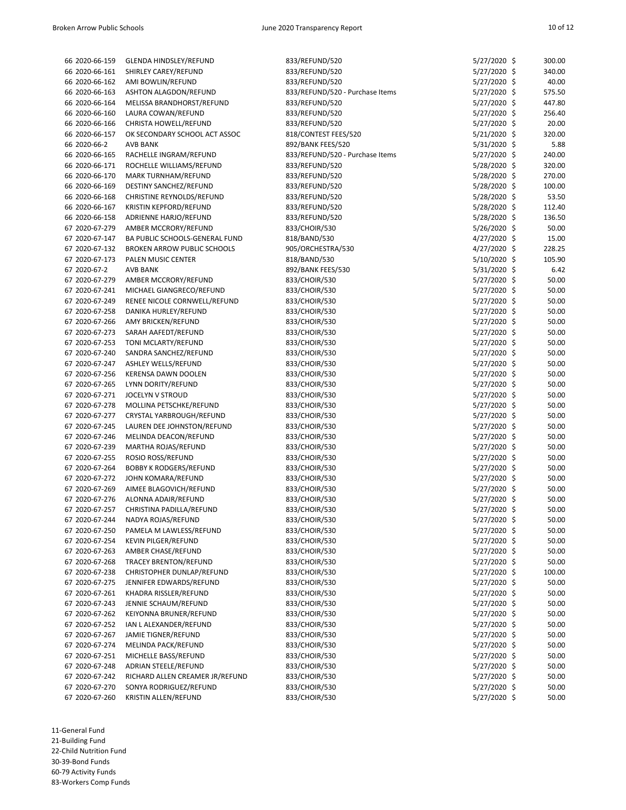| 66 2020-66-159 | GLENDA HINDSLEY/REFUND             | 833/REFUND/520                  | 5/27/2020 \$   | 300.00 |
|----------------|------------------------------------|---------------------------------|----------------|--------|
| 66 2020-66-161 | SHIRLEY CAREY/REFUND               | 833/REFUND/520                  | 5/27/2020 \$   | 340.00 |
| 66 2020-66-162 | AMI BOWLIN/REFUND                  | 833/REFUND/520                  | 5/27/2020 \$   | 40.00  |
| 66 2020-66-163 | ASHTON ALAGDON/REFUND              | 833/REFUND/520 - Purchase Items | 5/27/2020 \$   | 575.50 |
| 66 2020-66-164 | MELISSA BRANDHORST/REFUND          | 833/REFUND/520                  | 5/27/2020 \$   | 447.80 |
| 66 2020-66-160 | LAURA COWAN/REFUND                 | 833/REFUND/520                  | 5/27/2020 \$   | 256.40 |
| 66 2020-66-166 | CHRISTA HOWELL/REFUND              | 833/REFUND/520                  | 5/27/2020 \$   | 20.00  |
| 66 2020-66-157 | OK SECONDARY SCHOOL ACT ASSOC      | 818/CONTEST FEES/520            | 5/21/2020 \$   | 320.00 |
| 66 2020-66-2   | <b>AVB BANK</b>                    | 892/BANK FEES/520               | 5/31/2020 \$   | 5.88   |
| 66 2020-66-165 | RACHELLE INGRAM/REFUND             | 833/REFUND/520 - Purchase Items | 5/27/2020 \$   | 240.00 |
| 66 2020-66-171 | ROCHELLE WILLIAMS/REFUND           | 833/REFUND/520                  | 5/28/2020 \$   | 320.00 |
| 66 2020-66-170 | MARK TURNHAM/REFUND                | 833/REFUND/520                  | 5/28/2020 \$   | 270.00 |
| 66 2020-66-169 | DESTINY SANCHEZ/REFUND             | 833/REFUND/520                  | 5/28/2020 \$   | 100.00 |
|                | CHRISTINE REYNOLDS/REFUND          |                                 |                | 53.50  |
| 66 2020-66-168 |                                    | 833/REFUND/520                  | 5/28/2020 \$   |        |
| 66 2020-66-167 | KRISTIN KEPFORD/REFUND             | 833/REFUND/520                  | 5/28/2020 \$   | 112.40 |
| 66 2020-66-158 | ADRIENNE HARJO/REFUND              | 833/REFUND/520                  | 5/28/2020 \$   | 136.50 |
| 67 2020-67-279 | AMBER MCCRORY/REFUND               | 833/CHOIR/530                   | 5/26/2020 \$   | 50.00  |
| 67 2020-67-147 | BA PUBLIC SCHOOLS-GENERAL FUND     | 818/BAND/530                    | $4/27/2020$ \$ | 15.00  |
| 67 2020-67-132 | <b>BROKEN ARROW PUBLIC SCHOOLS</b> | 905/ORCHESTRA/530               | $4/27/2020$ \$ | 228.25 |
| 67 2020-67-173 | PALEN MUSIC CENTER                 | 818/BAND/530                    | 5/10/2020 \$   | 105.90 |
| 67 2020-67-2   | <b>AVB BANK</b>                    | 892/BANK FEES/530               | 5/31/2020 \$   | 6.42   |
| 67 2020-67-279 | AMBER MCCRORY/REFUND               | 833/CHOIR/530                   | 5/27/2020 \$   | 50.00  |
| 67 2020-67-241 | MICHAEL GIANGRECO/REFUND           | 833/CHOIR/530                   | 5/27/2020 \$   | 50.00  |
| 67 2020-67-249 | RENEE NICOLE CORNWELL/REFUND       | 833/CHOIR/530                   | 5/27/2020 \$   | 50.00  |
| 67 2020-67-258 | DANIKA HURLEY/REFUND               | 833/CHOIR/530                   | 5/27/2020 \$   | 50.00  |
| 67 2020-67-266 | AMY BRICKEN/REFUND                 | 833/CHOIR/530                   | 5/27/2020 \$   | 50.00  |
| 67 2020-67-273 | SARAH AAFEDT/REFUND                | 833/CHOIR/530                   | 5/27/2020 \$   | 50.00  |
| 67 2020-67-253 | TONI MCLARTY/REFUND                | 833/CHOIR/530                   | 5/27/2020 \$   | 50.00  |
| 67 2020-67-240 | SANDRA SANCHEZ/REFUND              | 833/CHOIR/530                   | 5/27/2020 \$   | 50.00  |
| 67 2020-67-247 | ASHLEY WELLS/REFUND                | 833/CHOIR/530                   | 5/27/2020 \$   | 50.00  |
| 67 2020-67-256 | <b>KERENSA DAWN DOOLEN</b>         | 833/CHOIR/530                   | 5/27/2020 \$   | 50.00  |
| 67 2020-67-265 | LYNN DORITY/REFUND                 | 833/CHOIR/530                   | 5/27/2020 \$   | 50.00  |
| 67 2020-67-271 | <b>JOCELYN V STROUD</b>            | 833/CHOIR/530                   | 5/27/2020 \$   | 50.00  |
| 67 2020-67-278 | MOLLINA PETSCHKE/REFUND            | 833/CHOIR/530                   | 5/27/2020 \$   | 50.00  |
|                |                                    |                                 |                | 50.00  |
| 67 2020-67-277 | CRYSTAL YARBROUGH/REFUND           | 833/CHOIR/530                   | 5/27/2020 \$   |        |
| 67 2020-67-245 | LAUREN DEE JOHNSTON/REFUND         | 833/CHOIR/530                   | 5/27/2020 \$   | 50.00  |
| 67 2020-67-246 | MELINDA DEACON/REFUND              | 833/CHOIR/530                   | 5/27/2020 \$   | 50.00  |
| 67 2020-67-239 | MARTHA ROJAS/REFUND                | 833/CHOIR/530                   | 5/27/2020 \$   | 50.00  |
| 67 2020-67-255 | ROSIO ROSS/REFUND                  | 833/CHOIR/530                   | 5/27/2020 \$   | 50.00  |
| 67 2020-67-264 | <b>BOBBY K RODGERS/REFUND</b>      | 833/CHOIR/530                   | 5/27/2020 \$   | 50.00  |
| 67 2020-67-272 | JOHN KOMARA/REFUND                 | 833/CHOIR/530                   | 5/27/2020 \$   | 50.00  |
| 67 2020-67-269 | AIMEE BLAGOVICH/REFUND             | 833/CHOIR/530                   | 5/27/2020 \$   | 50.00  |
| 67 2020-67-276 | ALONNA ADAIR/REFUND                | 833/CHOIR/530                   | 5/27/2020 \$   | 50.00  |
| 67 2020-67-257 | CHRISTINA PADILLA/REFUND           | 833/CHOIR/530                   | 5/27/2020 \$   | 50.00  |
| 67 2020-67-244 | NADYA ROJAS/REFUND                 | 833/CHOIR/530                   | 5/27/2020 \$   | 50.00  |
| 67 2020-67-250 | PAMELA M LAWLESS/REFUND            | 833/CHOIR/530                   | 5/27/2020 \$   | 50.00  |
| 67 2020-67-254 | KEVIN PILGER/REFUND                | 833/CHOIR/530                   | 5/27/2020 \$   | 50.00  |
| 67 2020-67-263 | AMBER CHASE/REFUND                 | 833/CHOIR/530                   | 5/27/2020 \$   | 50.00  |
| 67 2020-67-268 | <b>TRACEY BRENTON/REFUND</b>       | 833/CHOIR/530                   | 5/27/2020 \$   | 50.00  |
| 67 2020-67-238 | CHRISTOPHER DUNLAP/REFUND          | 833/CHOIR/530                   | 5/27/2020 \$   | 100.00 |
| 67 2020-67-275 | JENNIFER EDWARDS/REFUND            | 833/CHOIR/530                   | 5/27/2020 \$   | 50.00  |
| 67 2020-67-261 | KHADRA RISSLER/REFUND              | 833/CHOIR/530                   | 5/27/2020 \$   | 50.00  |
| 67 2020-67-243 | JENNIE SCHAUM/REFUND               | 833/CHOIR/530                   | 5/27/2020 \$   | 50.00  |
| 67 2020-67-262 | KEIYONNA BRUNER/REFUND             | 833/CHOIR/530                   | 5/27/2020 \$   | 50.00  |
| 67 2020-67-252 | IAN L ALEXANDER/REFUND             | 833/CHOIR/530                   | 5/27/2020 \$   | 50.00  |
| 67 2020-67-267 | JAMIE TIGNER/REFUND                | 833/CHOIR/530                   | 5/27/2020 \$   | 50.00  |
| 67 2020-67-274 | MELINDA PACK/REFUND                | 833/CHOIR/530                   | 5/27/2020 \$   | 50.00  |
| 67 2020-67-251 | MICHELLE BASS/REFUND               | 833/CHOIR/530                   | 5/27/2020 \$   | 50.00  |
|                |                                    |                                 |                |        |
| 67 2020-67-248 | ADRIAN STEELE/REFUND               | 833/CHOIR/530                   | 5/27/2020 \$   | 50.00  |
| 67 2020-67-242 | RICHARD ALLEN CREAMER JR/REFUND    | 833/CHOIR/530                   | 5/27/2020 \$   | 50.00  |
| 67 2020-67-270 | SONYA RODRIGUEZ/REFUND             | 833/CHOIR/530                   | 5/27/2020 \$   | 50.00  |
| 67 2020-67-260 | KRISTIN ALLEN/REFUND               | 833/CHOIR/530                   | 5/27/2020 \$   | 50.00  |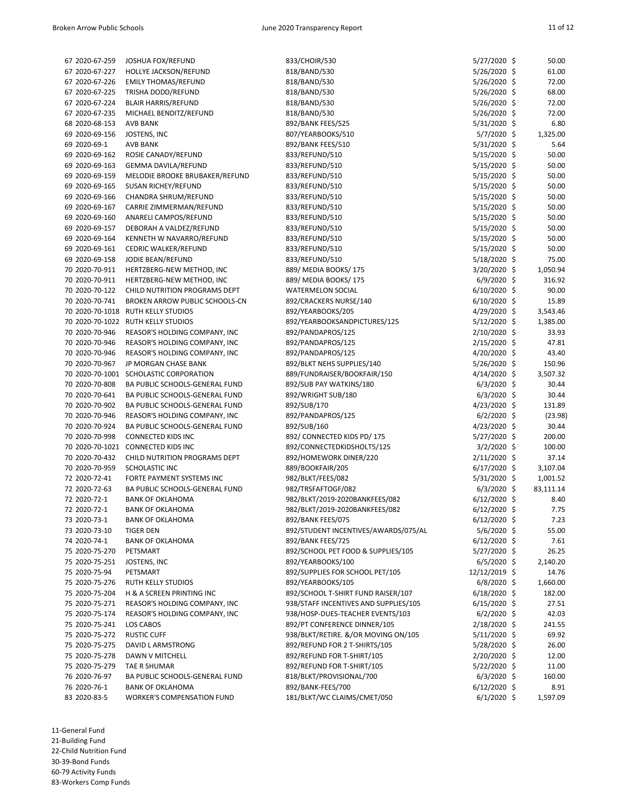| 67 2020-67-259 | JOSHUA FOX/REFUND                      | 833/CHOIR/530                         | 5/27/2020 \$   | 50.00     |
|----------------|----------------------------------------|---------------------------------------|----------------|-----------|
| 67 2020-67-227 | HOLLYE JACKSON/REFUND                  | 818/BAND/530                          | 5/26/2020 \$   | 61.00     |
| 67 2020-67-226 | <b>EMILY THOMAS/REFUND</b>             | 818/BAND/530                          | 5/26/2020 \$   | 72.00     |
| 67 2020-67-225 | TRISHA DODD/REFUND                     | 818/BAND/530                          | 5/26/2020 \$   | 68.00     |
| 67 2020-67-224 | <b>BLAIR HARRIS/REFUND</b>             | 818/BAND/530                          | 5/26/2020 \$   | 72.00     |
| 67 2020-67-235 | MICHAEL BENDITZ/REFUND                 | 818/BAND/530                          | 5/26/2020 \$   | 72.00     |
| 68 2020-68-153 | <b>AVB BANK</b>                        | 892/BANK FEES/525                     | 5/31/2020 \$   | 6.80      |
| 69 2020-69-156 | JOSTENS, INC                           | 807/YEARBOOKS/510                     | $5/7/2020$ \$  | 1,325.00  |
| 69 2020-69-1   | <b>AVB BANK</b>                        | 892/BANK FEES/510                     | 5/31/2020 \$   | 5.64      |
| 69 2020-69-162 | ROSIE CANADY/REFUND                    | 833/REFUND/510                        | 5/15/2020 \$   | 50.00     |
| 69 2020-69-163 | GEMMA DAVILA/REFUND                    | 833/REFUND/510                        | 5/15/2020 \$   | 50.00     |
| 69 2020-69-159 | MELODIE BROOKE BRUBAKER/REFUND         | 833/REFUND/510                        | 5/15/2020 \$   | 50.00     |
| 69 2020-69-165 | SUSAN RICHEY/REFUND                    | 833/REFUND/510                        | 5/15/2020 \$   | 50.00     |
| 69 2020-69-166 | CHANDRA SHRUM/REFUND                   | 833/REFUND/510                        | 5/15/2020 \$   | 50.00     |
| 69 2020-69-167 | CARRIE ZIMMERMAN/REFUND                | 833/REFUND/510                        | $5/15/2020$ \$ | 50.00     |
| 69 2020-69-160 | ANARELI CAMPOS/REFUND                  | 833/REFUND/510                        | 5/15/2020 \$   | 50.00     |
| 69 2020-69-157 | DEBORAH A VALDEZ/REFUND                | 833/REFUND/510                        | 5/15/2020 \$   | 50.00     |
| 69 2020-69-164 | KENNETH W NAVARRO/REFUND               | 833/REFUND/510                        | 5/15/2020 \$   | 50.00     |
| 69 2020-69-161 | CEDRIC WALKER/REFUND                   | 833/REFUND/510                        | 5/15/2020 \$   | 50.00     |
| 69 2020-69-158 | JODIE BEAN/REFUND                      | 833/REFUND/510                        | 5/18/2020 \$   | 75.00     |
| 70 2020-70-911 | HERTZBERG-NEW METHOD, INC              | 889/ MEDIA BOOKS/175                  | 3/20/2020 \$   | 1,050.94  |
| 70 2020-70-911 | HERTZBERG-NEW METHOD, INC              | 889/ MEDIA BOOKS/175                  | $6/9/2020$ \$  | 316.92    |
| 70 2020-70-122 | CHILD NUTRITION PROGRAMS DEPT          | <b>WATERMELON SOCIAL</b>              | $6/10/2020$ \$ | 90.00     |
| 70 2020-70-741 | BROKEN ARROW PUBLIC SCHOOLS-CN         | 892/CRACKERS NURSE/140                | $6/10/2020$ \$ | 15.89     |
|                | 70 2020-70-1018 RUTH KELLY STUDIOS     | 892/YEARBOOKS/205                     | $4/29/2020$ \$ | 3,543.46  |
|                | 70 2020-70-1022 RUTH KELLY STUDIOS     | 892/YEARBOOKSANDPICTURES/125          | 5/12/2020 \$   | 1,385.00  |
| 70 2020-70-946 | REASOR'S HOLDING COMPANY, INC          | 892/PANDAPROS/125                     | $2/10/2020$ \$ | 33.93     |
| 70 2020-70-946 | REASOR'S HOLDING COMPANY, INC          | 892/PANDAPROS/125                     | $2/15/2020$ \$ | 47.81     |
| 70 2020-70-946 | REASOR'S HOLDING COMPANY, INC          | 892/PANDAPROS/125                     | 4/20/2020 \$   | 43.40     |
| 70 2020-70-967 | JP MORGAN CHASE BANK                   | 892/BLKT NEHS SUPPLIES/140            | $5/26/2020$ \$ | 150.96    |
|                | 70 2020-70-1001 SCHOLASTIC CORPORATION | 889/FUNDRAISER/BOOKFAIR/150           | $4/14/2020$ \$ | 3,507.32  |
| 70 2020-70-808 | BA PUBLIC SCHOOLS-GENERAL FUND         | 892/SUB PAY WATKINS/180               | $6/3/2020$ \$  | 30.44     |
| 70 2020-70-641 | BA PUBLIC SCHOOLS-GENERAL FUND         | 892/WRIGHT SUB/180                    | $6/3/2020$ \$  | 30.44     |
| 70 2020-70-902 | BA PUBLIC SCHOOLS-GENERAL FUND         | 892/SUB/170                           | $4/23/2020$ \$ | 131.89    |
| 70 2020-70-946 | REASOR'S HOLDING COMPANY, INC          | 892/PANDAPROS/125                     | $6/2/2020$ \$  | (23.98)   |
| 70 2020-70-924 | BA PUBLIC SCHOOLS-GENERAL FUND         | 892/SUB/160                           | $4/23/2020$ \$ | 30.44     |
| 70 2020-70-998 | CONNECTED KIDS INC                     | 892/ CONNECTED KIDS PD/ 175           | 5/27/2020 \$   | 200.00    |
|                | 70 2020-70-1021 CONNECTED KIDS INC     | 892/CONNECTEDKIDSHOLT5/125            | $3/2/2020$ \$  | 100.00    |
| 70 2020-70-432 | CHILD NUTRITION PROGRAMS DEPT          | 892/HOMEWORK DINER/220                | $2/11/2020$ \$ | 37.14     |
| 70 2020-70-959 | SCHOLASTIC INC                         | 889/BOOKFAIR/205                      | $6/17/2020$ \$ | 3,107.04  |
| 72 2020-72-41  | FORTE PAYMENT SYSTEMS INC              | 982/BLKT/FEES/082                     | 5/31/2020 \$   | 1,001.52  |
| 72 2020-72-63  | BA PUBLIC SCHOOLS-GENERAL FUND         | 982/TRSFAFTOGF/082                    | $6/3/2020$ \$  | 83,111.14 |
| 72 2020-72-1   | <b>BANK OF OKLAHOMA</b>                | 982/BLKT/2019-2020BANKFEES/082        | $6/12/2020$ \$ | 8.40      |
| 72 2020-72-1   | <b>BANK OF OKLAHOMA</b>                | 982/BLKT/2019-2020BANKFEES/082        | $6/12/2020$ \$ | 7.75      |
| 73 2020-73-1   | <b>BANK OF OKLAHOMA</b>                | 892/BANK FEES/075                     | $6/12/2020$ \$ | 7.23      |
| 73 2020-73-10  | TIGER DEN                              | 892/STUDENT INCENTIVES/AWARDS/075/AL  | 5/6/2020 \$    | 55.00     |
| 74 2020-74-1   | <b>BANK OF OKLAHOMA</b>                | 892/BANK FEES/725                     | $6/12/2020$ \$ | 7.61      |
| 75 2020-75-270 | PETSMART                               | 892/SCHOOL PET FOOD & SUPPLIES/105    | 5/27/2020 \$   | 26.25     |
| 75 2020-75-251 | JOSTENS, INC                           | 892/YEARBOOKS/100                     | $6/5/2020$ \$  | 2,140.20  |
| 75 2020-75-94  | PETSMART                               | 892/SUPPLIES FOR SCHOOL PET/105       | 12/12/2019 \$  | 14.76     |
| 75 2020-75-276 | <b>RUTH KELLY STUDIOS</b>              | 892/YEARBOOKS/105                     | $6/8/2020$ \$  | 1,660.00  |
| 75 2020-75-204 | H & A SCREEN PRINTING INC              | 892/SCHOOL T-SHIRT FUND RAISER/107    | $6/18/2020$ \$ | 182.00    |
| 75 2020-75-271 | REASOR'S HOLDING COMPANY, INC          | 938/STAFF INCENTIVES AND SUPPLIES/105 | $6/15/2020$ \$ | 27.51     |
| 75 2020-75-174 | REASOR'S HOLDING COMPANY, INC          | 938/HOSP-DUES-TEACHER EVENTS/103      | $6/2/2020$ \$  | 42.03     |
| 75 2020-75-241 | LOS CABOS                              | 892/PT CONFERENCE DINNER/105          | $2/18/2020$ \$ | 241.55    |
| 75 2020-75-272 | <b>RUSTIC CUFF</b>                     | 938/BLKT/RETIRE. &/OR MOVING ON/105   | 5/11/2020 \$   | 69.92     |
| 75 2020-75-275 | DAVID L ARMSTRONG                      | 892/REFUND FOR 2 T-SHIRTS/105         | 5/28/2020 \$   | 26.00     |
| 75 2020-75-278 | DAWN V MITCHELL                        | 892/REFUND FOR T-SHIRT/105            | $2/20/2020$ \$ | 12.00     |
| 75 2020-75-279 | TAE R SHUMAR                           | 892/REFUND FOR T-SHIRT/105            | 5/22/2020 \$   | 11.00     |
| 76 2020-76-97  | BA PUBLIC SCHOOLS-GENERAL FUND         | 818/BLKT/PROVISIONAL/700              | $6/3/2020$ \$  | 160.00    |
| 76 2020-76-1   | <b>BANK OF OKLAHOMA</b>                | 892/BANK-FEES/700                     | $6/12/2020$ \$ | 8.91      |
| 83 2020-83-5   | <b>WORKER'S COMPENSATION FUND</b>      | 181/BLKT/WC CLAIMS/CMET/050           | $6/1/2020$ \$  | 1,597.09  |
|                |                                        |                                       |                |           |